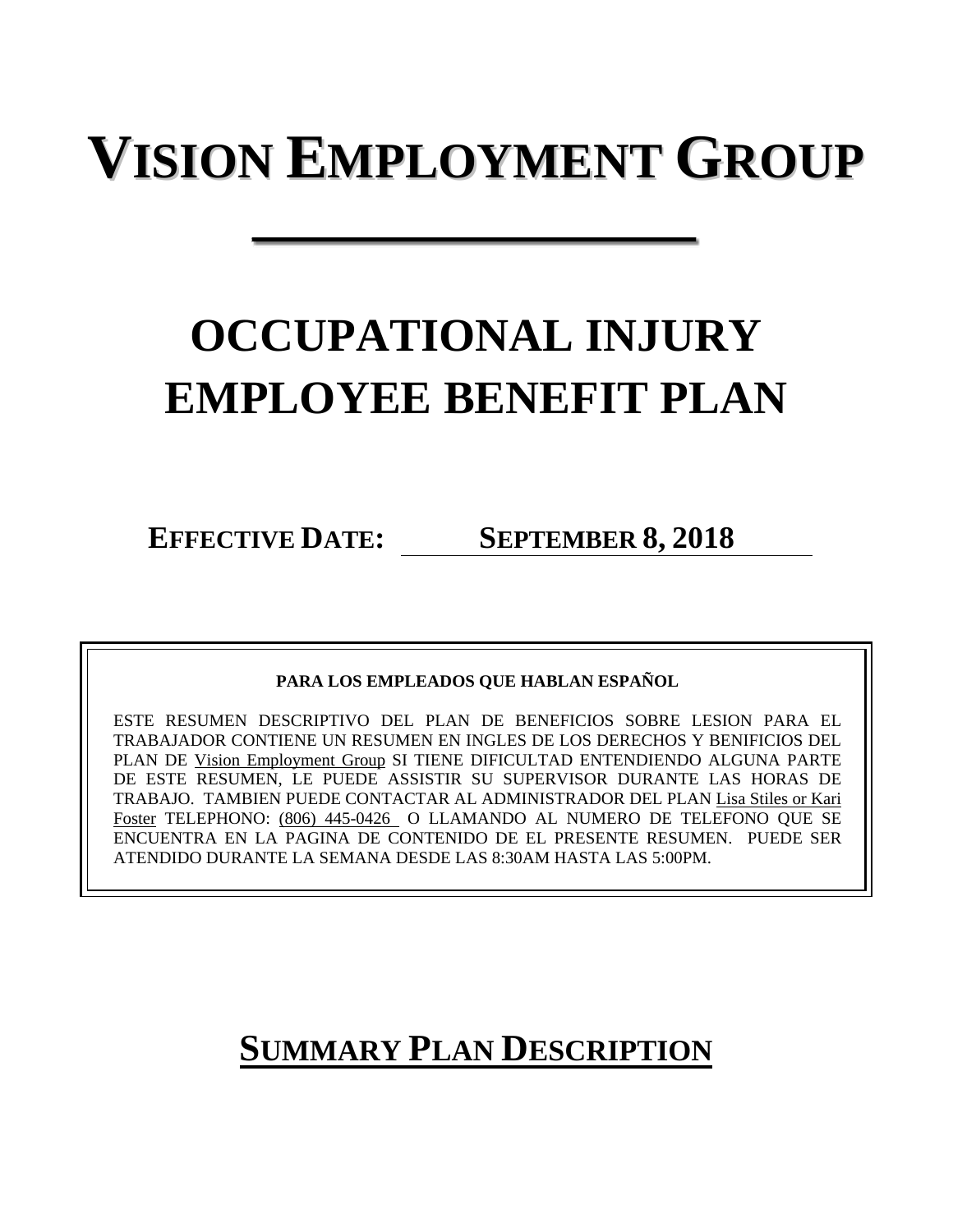# **VISION EMPLOYMENT GROUP**

# **OCCUPATIONAL INJURY EMPLOYEE BENEFIT PLAN**

**EFFECTIVE DATE: SEPTEMBER 8, 2018**

**PARA LOS EMPLEADOS QUE HABLAN ESPAÑOL**

ESTE RESUMEN DESCRIPTIVO DEL PLAN DE BENEFICIOS SOBRE LESION PARA EL TRABAJADOR CONTIENE UN RESUMEN EN INGLES DE LOS DERECHOS Y BENIFICIOS DEL PLAN DE Vision Employment Group SI TIENE DIFICULTAD ENTENDIENDO ALGUNA PARTE DE ESTE RESUMEN, LE PUEDE ASSISTIR SU SUPERVISOR DURANTE LAS HORAS DE TRABAJO. TAMBIEN PUEDE CONTACTAR AL ADMINISTRADOR DEL PLAN Lisa Stiles or Kari Foster TELEPHONO: (806) 445-0426 O LLAMANDO AL NUMERO DE TELEFONO QUE SE ENCUENTRA EN LA PAGINA DE CONTENIDO DE EL PRESENTE RESUMEN. PUEDE SER ATENDIDO DURANTE LA SEMANA DESDE LAS 8:30AM HASTA LAS 5:00PM.

# **SUMMARY PLAN DESCRIPTION**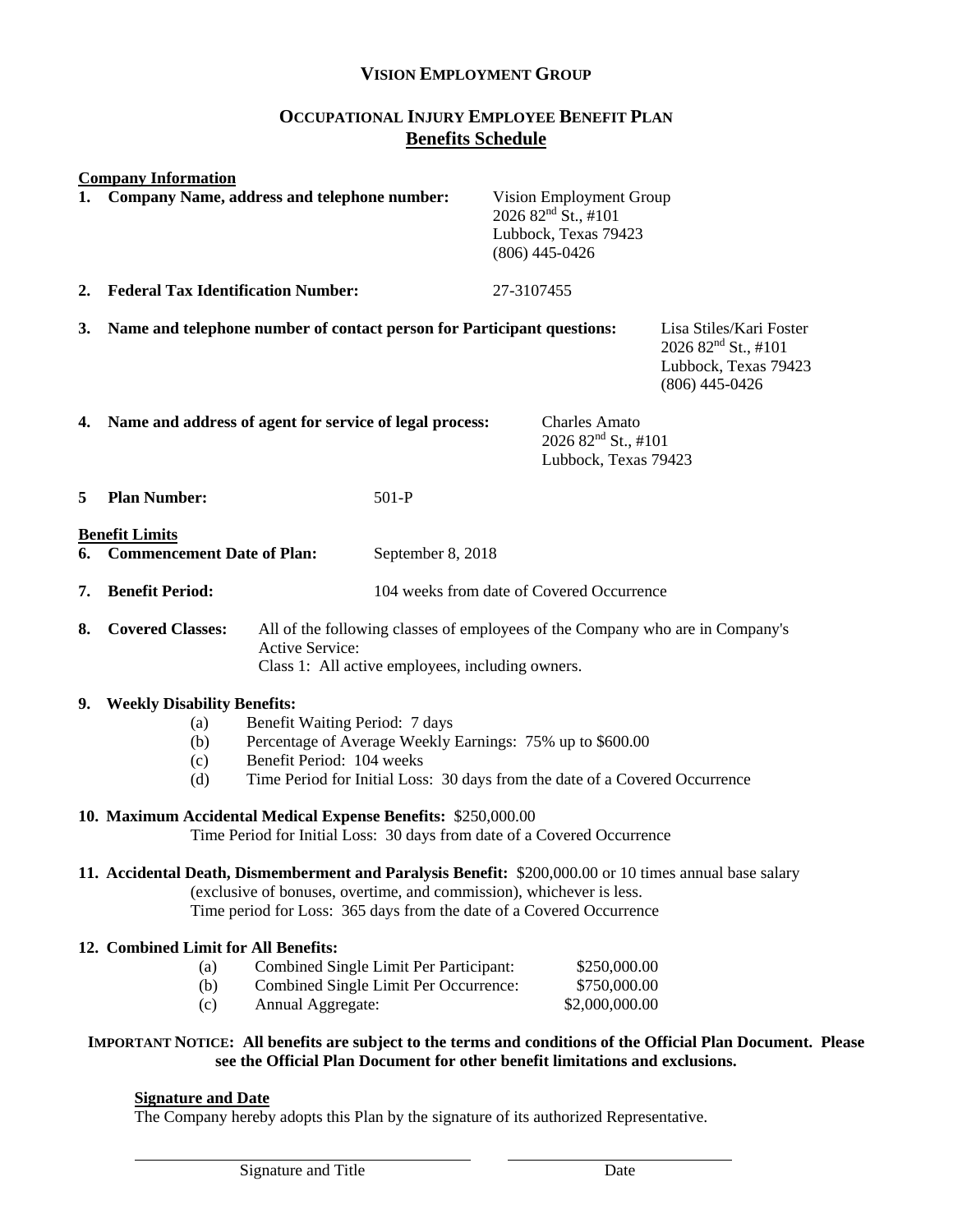# **VISION EMPLOYMENT GROUP**

# **OCCUPATIONAL INJURY EMPLOYEE BENEFIT PLAN Benefits Schedule**

#### **Company Information**

|                                                                                                                                                                                                                                                        | 1. Company Name, address and telephone number:                                                                                                                                                                                                                                                                                                                    | Vision Employment Group<br>2026 82 <sup>nd</sup> St., #101<br>Lubbock, Texas 79423<br>$(806)$ 445-0426                            |                                                                                                        |  |
|--------------------------------------------------------------------------------------------------------------------------------------------------------------------------------------------------------------------------------------------------------|-------------------------------------------------------------------------------------------------------------------------------------------------------------------------------------------------------------------------------------------------------------------------------------------------------------------------------------------------------------------|-----------------------------------------------------------------------------------------------------------------------------------|--------------------------------------------------------------------------------------------------------|--|
| 2.                                                                                                                                                                                                                                                     | <b>Federal Tax Identification Number:</b>                                                                                                                                                                                                                                                                                                                         | 27-3107455                                                                                                                        |                                                                                                        |  |
| 3.                                                                                                                                                                                                                                                     | Name and telephone number of contact person for Participant questions:                                                                                                                                                                                                                                                                                            |                                                                                                                                   | Lisa Stiles/Kari Foster<br>2026 82 <sup>nd</sup> St., #101<br>Lubbock, Texas 79423<br>$(806)$ 445-0426 |  |
| 4.                                                                                                                                                                                                                                                     | Name and address of agent for service of legal process:                                                                                                                                                                                                                                                                                                           | <b>Charles Amato</b><br>2026 82 <sup>nd</sup> St., #101<br>Lubbock, Texas 79423                                                   |                                                                                                        |  |
| 5                                                                                                                                                                                                                                                      | <b>Plan Number:</b><br>$501-P$                                                                                                                                                                                                                                                                                                                                    |                                                                                                                                   |                                                                                                        |  |
| <b>Benefit Limits</b><br>6.<br><b>Commencement Date of Plan:</b><br>September 8, 2018                                                                                                                                                                  |                                                                                                                                                                                                                                                                                                                                                                   |                                                                                                                                   |                                                                                                        |  |
| 7.                                                                                                                                                                                                                                                     | <b>Benefit Period:</b>                                                                                                                                                                                                                                                                                                                                            | 104 weeks from date of Covered Occurrence                                                                                         |                                                                                                        |  |
| 8.                                                                                                                                                                                                                                                     | <b>Covered Classes:</b><br><b>Active Service:</b>                                                                                                                                                                                                                                                                                                                 | All of the following classes of employees of the Company who are in Company's<br>Class 1: All active employees, including owners. |                                                                                                        |  |
| 9.                                                                                                                                                                                                                                                     | <b>Weekly Disability Benefits:</b><br>Benefit Waiting Period: 7 days<br>(a)<br>Percentage of Average Weekly Earnings: 75% up to \$600.00<br>(b)<br>Benefit Period: 104 weeks<br>(c)<br>Time Period for Initial Loss: 30 days from the date of a Covered Occurrence<br>(d)                                                                                         |                                                                                                                                   |                                                                                                        |  |
|                                                                                                                                                                                                                                                        | 10. Maximum Accidental Medical Expense Benefits: \$250,000.00<br>Time Period for Initial Loss: 30 days from date of a Covered Occurrence                                                                                                                                                                                                                          |                                                                                                                                   |                                                                                                        |  |
| 11. Accidental Death, Dismemberment and Paralysis Benefit: \$200,000.00 or 10 times annual base salary<br>(exclusive of bonuses, overtime, and commission), whichever is less.<br>Time period for Loss: 365 days from the date of a Covered Occurrence |                                                                                                                                                                                                                                                                                                                                                                   |                                                                                                                                   |                                                                                                        |  |
|                                                                                                                                                                                                                                                        | 12. Combined Limit for All Benefits:<br>Combined Single Limit Per Participant:<br>(a)<br>Combined Single Limit Per Occurrence:<br>(b)<br>Annual Aggregate:<br>(c)<br>IMPORTANT NOTICE: All benefits are subject to the terms and conditions of the Official Plan Document. Please<br>see the Official Plan Document for other benefit limitations and exclusions. | \$250,000.00<br>\$750,000.00<br>\$2,000,000.00                                                                                    |                                                                                                        |  |
|                                                                                                                                                                                                                                                        |                                                                                                                                                                                                                                                                                                                                                                   |                                                                                                                                   |                                                                                                        |  |

#### **Signature and Date**

The Company hereby adopts this Plan by the signature of its authorized Representative.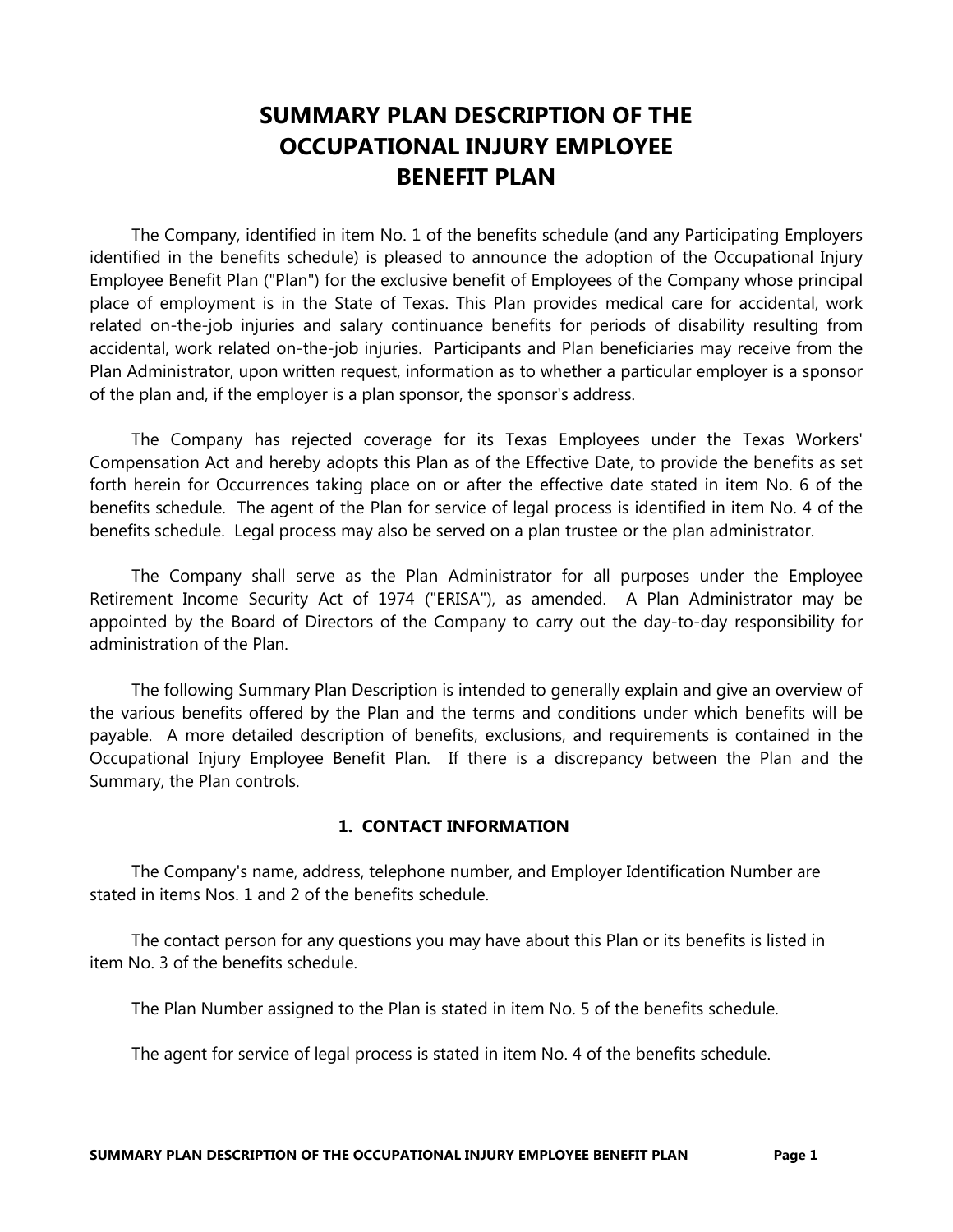# SUMMARY PLAN DESCRIPTION OF THE OCCUPATIONAL INJURY EMPLOYEE BENEFIT PLAN

 The Company, identified in item No. 1 of the benefits schedule (and any Participating Employers identified in the benefits schedule) is pleased to announce the adoption of the Occupational Injury Employee Benefit Plan ("Plan") for the exclusive benefit of Employees of the Company whose principal place of employment is in the State of Texas. This Plan provides medical care for accidental, work related on-the-job injuries and salary continuance benefits for periods of disability resulting from accidental, work related on-the-job injuries. Participants and Plan beneficiaries may receive from the Plan Administrator, upon written request, information as to whether a particular employer is a sponsor of the plan and, if the employer is a plan sponsor, the sponsor's address.

 The Company has rejected coverage for its Texas Employees under the Texas Workers' Compensation Act and hereby adopts this Plan as of the Effective Date, to provide the benefits as set forth herein for Occurrences taking place on or after the effective date stated in item No. 6 of the benefits schedule. The agent of the Plan for service of legal process is identified in item No. 4 of the benefits schedule. Legal process may also be served on a plan trustee or the plan administrator.

 The Company shall serve as the Plan Administrator for all purposes under the Employee Retirement Income Security Act of 1974 ("ERISA"), as amended. A Plan Administrator may be appointed by the Board of Directors of the Company to carry out the day-to-day responsibility for administration of the Plan.

 The following Summary Plan Description is intended to generally explain and give an overview of the various benefits offered by the Plan and the terms and conditions under which benefits will be payable. A more detailed description of benefits, exclusions, and requirements is contained in the Occupational Injury Employee Benefit Plan. If there is a discrepancy between the Plan and the Summary, the Plan controls.

# 1. CONTACT INFORMATION

 The Company's name, address, telephone number, and Employer Identification Number are stated in items Nos. 1 and 2 of the benefits schedule.

 The contact person for any questions you may have about this Plan or its benefits is listed in item No. 3 of the benefits schedule.

The Plan Number assigned to the Plan is stated in item No. 5 of the benefits schedule.

The agent for service of legal process is stated in item No. 4 of the benefits schedule.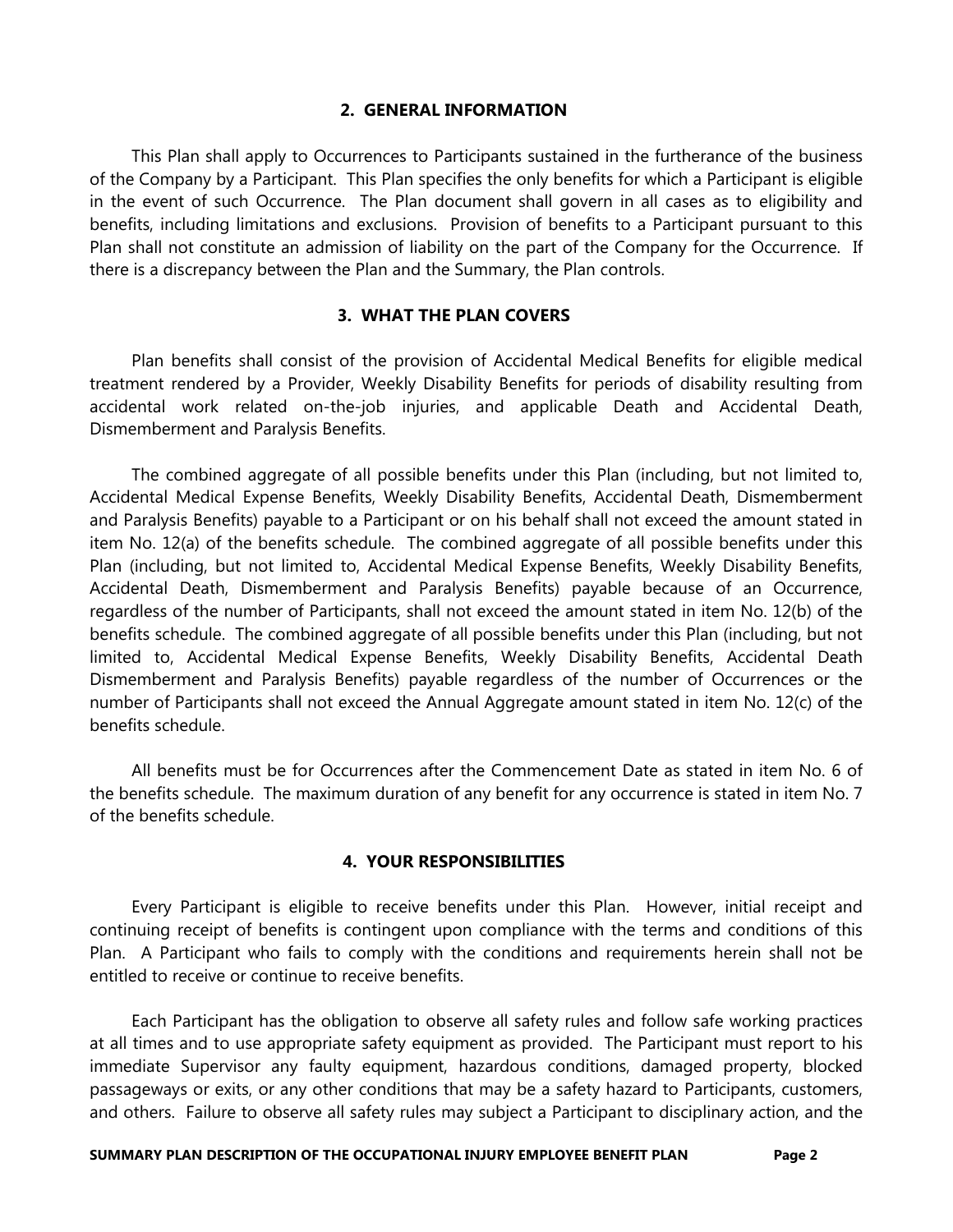# 2. GENERAL INFORMATION

 This Plan shall apply to Occurrences to Participants sustained in the furtherance of the business of the Company by a Participant. This Plan specifies the only benefits for which a Participant is eligible in the event of such Occurrence. The Plan document shall govern in all cases as to eligibility and benefits, including limitations and exclusions. Provision of benefits to a Participant pursuant to this Plan shall not constitute an admission of liability on the part of the Company for the Occurrence. If there is a discrepancy between the Plan and the Summary, the Plan controls.

# 3. WHAT THE PLAN COVERS

 Plan benefits shall consist of the provision of Accidental Medical Benefits for eligible medical treatment rendered by a Provider, Weekly Disability Benefits for periods of disability resulting from accidental work related on-the-job injuries, and applicable Death and Accidental Death, Dismemberment and Paralysis Benefits.

 The combined aggregate of all possible benefits under this Plan (including, but not limited to, Accidental Medical Expense Benefits, Weekly Disability Benefits, Accidental Death, Dismemberment and Paralysis Benefits) payable to a Participant or on his behalf shall not exceed the amount stated in item No. 12(a) of the benefits schedule. The combined aggregate of all possible benefits under this Plan (including, but not limited to, Accidental Medical Expense Benefits, Weekly Disability Benefits, Accidental Death, Dismemberment and Paralysis Benefits) payable because of an Occurrence, regardless of the number of Participants, shall not exceed the amount stated in item No. 12(b) of the benefits schedule. The combined aggregate of all possible benefits under this Plan (including, but not limited to, Accidental Medical Expense Benefits, Weekly Disability Benefits, Accidental Death Dismemberment and Paralysis Benefits) payable regardless of the number of Occurrences or the number of Participants shall not exceed the Annual Aggregate amount stated in item No. 12(c) of the benefits schedule.

 All benefits must be for Occurrences after the Commencement Date as stated in item No. 6 of the benefits schedule. The maximum duration of any benefit for any occurrence is stated in item No. 7 of the benefits schedule.

### 4. YOUR RESPONSIBILITIES

 Every Participant is eligible to receive benefits under this Plan. However, initial receipt and continuing receipt of benefits is contingent upon compliance with the terms and conditions of this Plan. A Participant who fails to comply with the conditions and requirements herein shall not be entitled to receive or continue to receive benefits.

 Each Participant has the obligation to observe all safety rules and follow safe working practices at all times and to use appropriate safety equipment as provided. The Participant must report to his immediate Supervisor any faulty equipment, hazardous conditions, damaged property, blocked passageways or exits, or any other conditions that may be a safety hazard to Participants, customers, and others. Failure to observe all safety rules may subject a Participant to disciplinary action, and the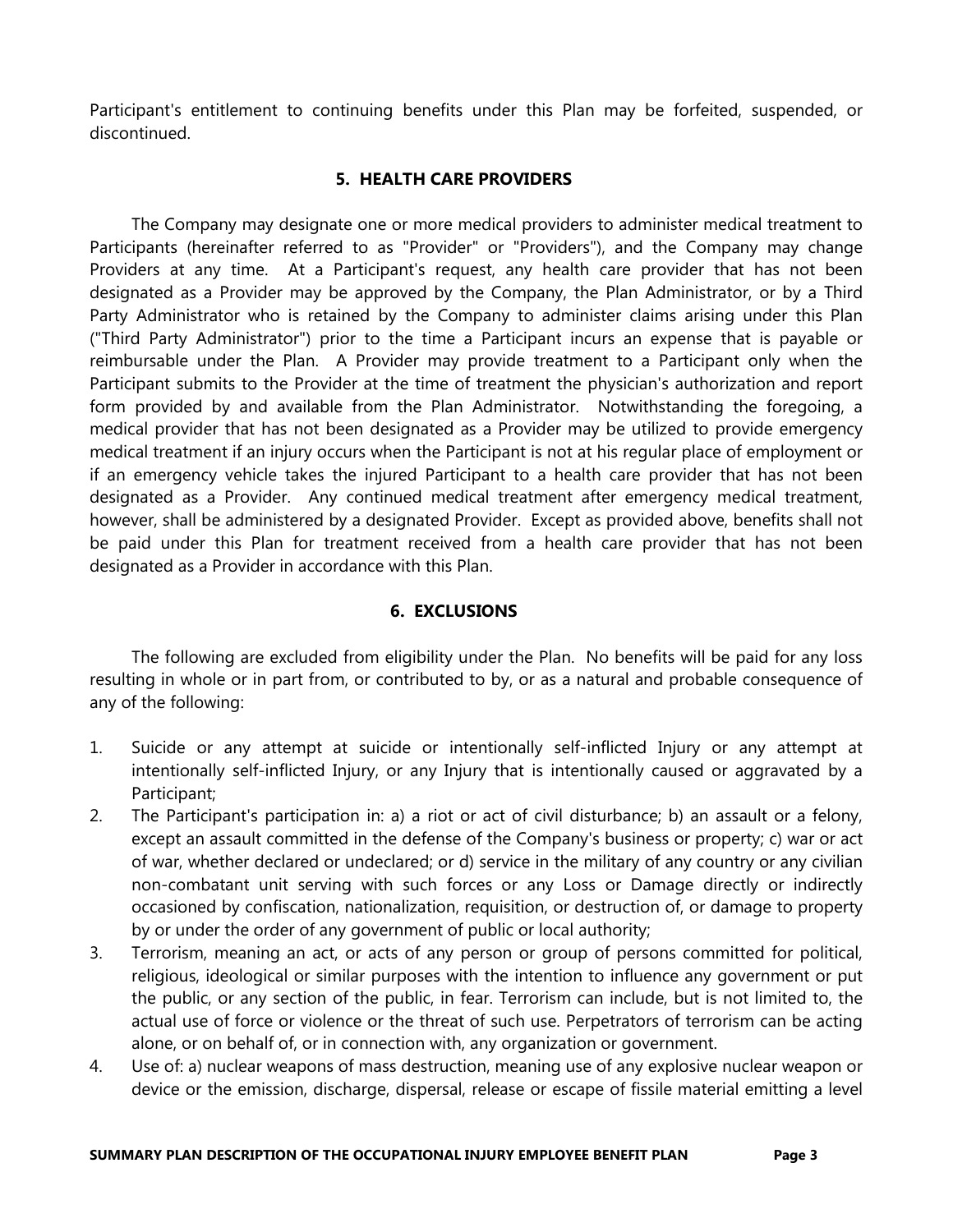Participant's entitlement to continuing benefits under this Plan may be forfeited, suspended, or discontinued.

# 5. HEALTH CARE PROVIDERS

 The Company may designate one or more medical providers to administer medical treatment to Participants (hereinafter referred to as "Provider" or "Providers"), and the Company may change Providers at any time. At a Participant's request, any health care provider that has not been designated as a Provider may be approved by the Company, the Plan Administrator, or by a Third Party Administrator who is retained by the Company to administer claims arising under this Plan ("Third Party Administrator") prior to the time a Participant incurs an expense that is payable or reimbursable under the Plan. A Provider may provide treatment to a Participant only when the Participant submits to the Provider at the time of treatment the physician's authorization and report form provided by and available from the Plan Administrator. Notwithstanding the foregoing, a medical provider that has not been designated as a Provider may be utilized to provide emergency medical treatment if an injury occurs when the Participant is not at his regular place of employment or if an emergency vehicle takes the injured Participant to a health care provider that has not been designated as a Provider. Any continued medical treatment after emergency medical treatment, however, shall be administered by a designated Provider. Except as provided above, benefits shall not be paid under this Plan for treatment received from a health care provider that has not been designated as a Provider in accordance with this Plan.

# 6. EXCLUSIONS

 The following are excluded from eligibility under the Plan. No benefits will be paid for any loss resulting in whole or in part from, or contributed to by, or as a natural and probable consequence of any of the following:

- 1. Suicide or any attempt at suicide or intentionally self-inflicted Injury or any attempt at intentionally self-inflicted Injury, or any Injury that is intentionally caused or aggravated by a Participant;
- 2. The Participant's participation in: a) a riot or act of civil disturbance; b) an assault or a felony, except an assault committed in the defense of the Company's business or property; c) war or act of war, whether declared or undeclared; or d) service in the military of any country or any civilian non-combatant unit serving with such forces or any Loss or Damage directly or indirectly occasioned by confiscation, nationalization, requisition, or destruction of, or damage to property by or under the order of any government of public or local authority;
- 3. Terrorism, meaning an act, or acts of any person or group of persons committed for political, religious, ideological or similar purposes with the intention to influence any government or put the public, or any section of the public, in fear. Terrorism can include, but is not limited to, the actual use of force or violence or the threat of such use. Perpetrators of terrorism can be acting alone, or on behalf of, or in connection with, any organization or government.
- 4. Use of: a) nuclear weapons of mass destruction, meaning use of any explosive nuclear weapon or device or the emission, discharge, dispersal, release or escape of fissile material emitting a level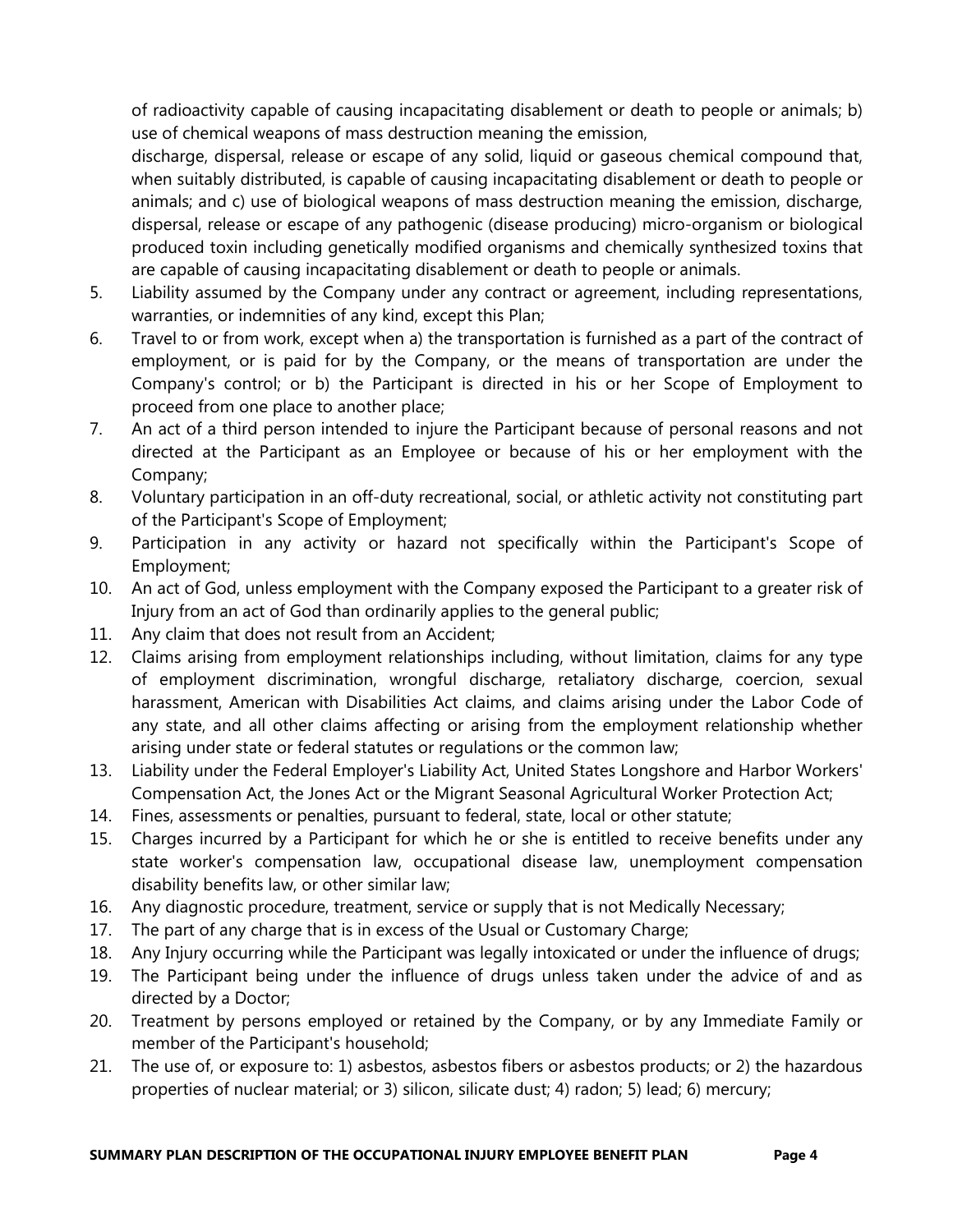of radioactivity capable of causing incapacitating disablement or death to people or animals; b) use of chemical weapons of mass destruction meaning the emission,

discharge, dispersal, release or escape of any solid, liquid or gaseous chemical compound that, when suitably distributed, is capable of causing incapacitating disablement or death to people or animals; and c) use of biological weapons of mass destruction meaning the emission, discharge, dispersal, release or escape of any pathogenic (disease producing) micro-organism or biological produced toxin including genetically modified organisms and chemically synthesized toxins that are capable of causing incapacitating disablement or death to people or animals.

- 5. Liability assumed by the Company under any contract or agreement, including representations, warranties, or indemnities of any kind, except this Plan;
- 6. Travel to or from work, except when a) the transportation is furnished as a part of the contract of employment, or is paid for by the Company, or the means of transportation are under the Company's control; or b) the Participant is directed in his or her Scope of Employment to proceed from one place to another place;
- 7. An act of a third person intended to injure the Participant because of personal reasons and not directed at the Participant as an Employee or because of his or her employment with the Company;
- 8. Voluntary participation in an off-duty recreational, social, or athletic activity not constituting part of the Participant's Scope of Employment;
- 9. Participation in any activity or hazard not specifically within the Participant's Scope of Employment;
- 10. An act of God, unless employment with the Company exposed the Participant to a greater risk of Injury from an act of God than ordinarily applies to the general public;
- 11. Any claim that does not result from an Accident;
- 12. Claims arising from employment relationships including, without limitation, claims for any type of employment discrimination, wrongful discharge, retaliatory discharge, coercion, sexual harassment, American with Disabilities Act claims, and claims arising under the Labor Code of any state, and all other claims affecting or arising from the employment relationship whether arising under state or federal statutes or regulations or the common law;
- 13. Liability under the Federal Employer's Liability Act, United States Longshore and Harbor Workers' Compensation Act, the Jones Act or the Migrant Seasonal Agricultural Worker Protection Act;
- 14. Fines, assessments or penalties, pursuant to federal, state, local or other statute;
- 15. Charges incurred by a Participant for which he or she is entitled to receive benefits under any state worker's compensation law, occupational disease law, unemployment compensation disability benefits law, or other similar law;
- 16. Any diagnostic procedure, treatment, service or supply that is not Medically Necessary;
- 17. The part of any charge that is in excess of the Usual or Customary Charge;
- 18. Any Injury occurring while the Participant was legally intoxicated or under the influence of drugs;
- 19. The Participant being under the influence of drugs unless taken under the advice of and as directed by a Doctor;
- 20. Treatment by persons employed or retained by the Company, or by any Immediate Family or member of the Participant's household;
- 21. The use of, or exposure to: 1) asbestos, asbestos fibers or asbestos products; or 2) the hazardous properties of nuclear material; or 3) silicon, silicate dust; 4) radon; 5) lead; 6) mercury;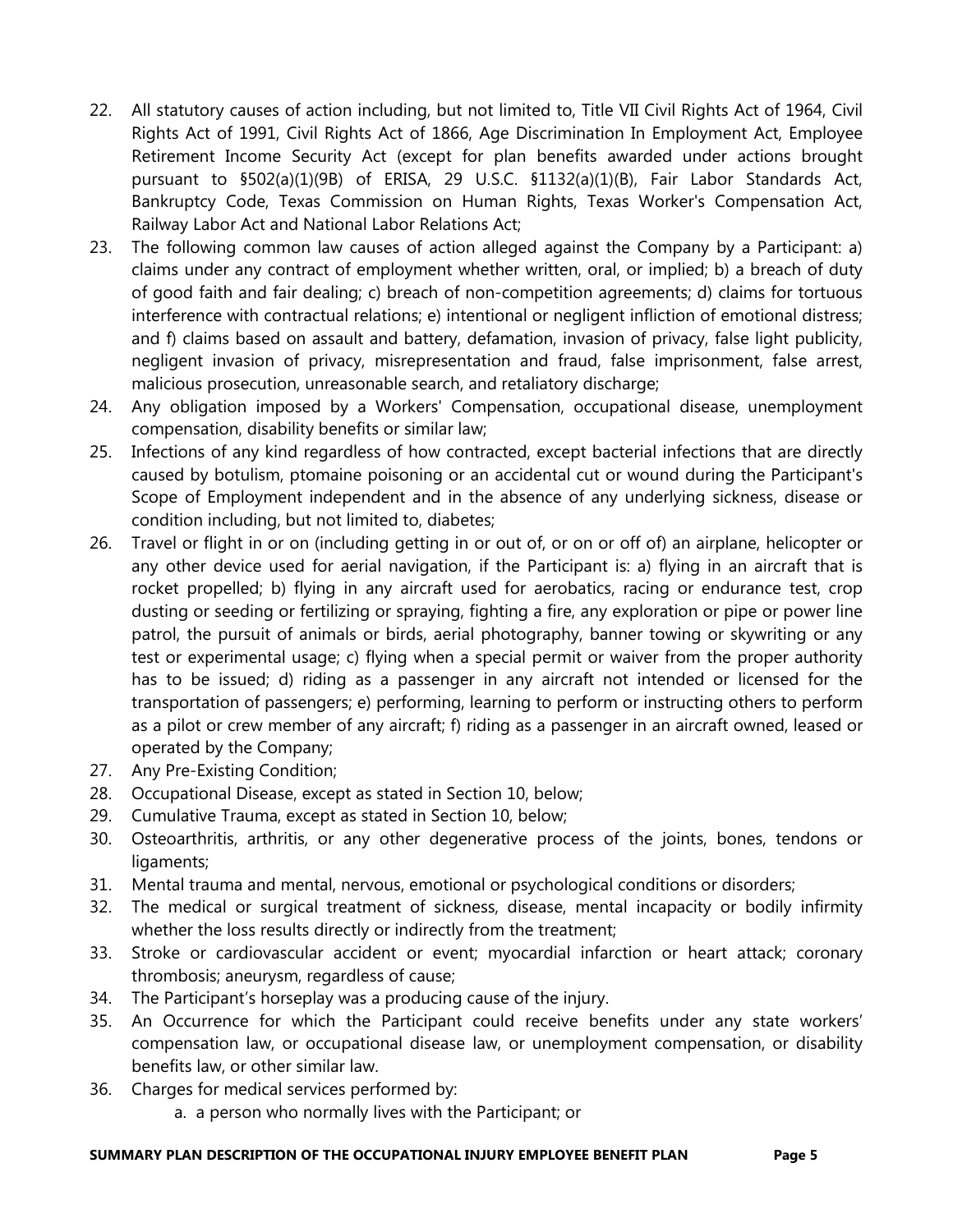- 22. All statutory causes of action including, but not limited to, Title VII Civil Rights Act of 1964, Civil Rights Act of 1991, Civil Rights Act of 1866, Age Discrimination In Employment Act, Employee Retirement Income Security Act (except for plan benefits awarded under actions brought pursuant to §502(a)(1)(9B) of ERISA, 29 U.S.C. §1132(a)(1)(B), Fair Labor Standards Act, Bankruptcy Code, Texas Commission on Human Rights, Texas Worker's Compensation Act, Railway Labor Act and National Labor Relations Act;
- 23. The following common law causes of action alleged against the Company by a Participant: a) claims under any contract of employment whether written, oral, or implied; b) a breach of duty of good faith and fair dealing; c) breach of non-competition agreements; d) claims for tortuous interference with contractual relations; e) intentional or negligent infliction of emotional distress; and f) claims based on assault and battery, defamation, invasion of privacy, false light publicity, negligent invasion of privacy, misrepresentation and fraud, false imprisonment, false arrest, malicious prosecution, unreasonable search, and retaliatory discharge;
- 24. Any obligation imposed by a Workers' Compensation, occupational disease, unemployment compensation, disability benefits or similar law;
- 25. Infections of any kind regardless of how contracted, except bacterial infections that are directly caused by botulism, ptomaine poisoning or an accidental cut or wound during the Participant's Scope of Employment independent and in the absence of any underlying sickness, disease or condition including, but not limited to, diabetes;
- 26. Travel or flight in or on (including getting in or out of, or on or off of) an airplane, helicopter or any other device used for aerial navigation, if the Participant is: a) flying in an aircraft that is rocket propelled; b) flying in any aircraft used for aerobatics, racing or endurance test, crop dusting or seeding or fertilizing or spraying, fighting a fire, any exploration or pipe or power line patrol, the pursuit of animals or birds, aerial photography, banner towing or skywriting or any test or experimental usage; c) flying when a special permit or waiver from the proper authority has to be issued; d) riding as a passenger in any aircraft not intended or licensed for the transportation of passengers; e) performing, learning to perform or instructing others to perform as a pilot or crew member of any aircraft; f) riding as a passenger in an aircraft owned, leased or operated by the Company;
- 27. Any Pre-Existing Condition;
- 28. Occupational Disease, except as stated in Section 10, below;
- 29. Cumulative Trauma, except as stated in Section 10, below;
- 30. Osteoarthritis, arthritis, or any other degenerative process of the joints, bones, tendons or ligaments;
- 31. Mental trauma and mental, nervous, emotional or psychological conditions or disorders;
- 32. The medical or surgical treatment of sickness, disease, mental incapacity or bodily infirmity whether the loss results directly or indirectly from the treatment;
- 33. Stroke or cardiovascular accident or event; myocardial infarction or heart attack; coronary thrombosis; aneurysm, regardless of cause;
- 34. The Participant's horseplay was a producing cause of the injury.
- 35. An Occurrence for which the Participant could receive benefits under any state workers' compensation law, or occupational disease law, or unemployment compensation, or disability benefits law, or other similar law.
- 36. Charges for medical services performed by:
	- a. a person who normally lives with the Participant; or

# SUMMARY PLAN DESCRIPTION OF THE OCCUPATIONAL INJURY EMPLOYEE BENEFIT PLAN Page 5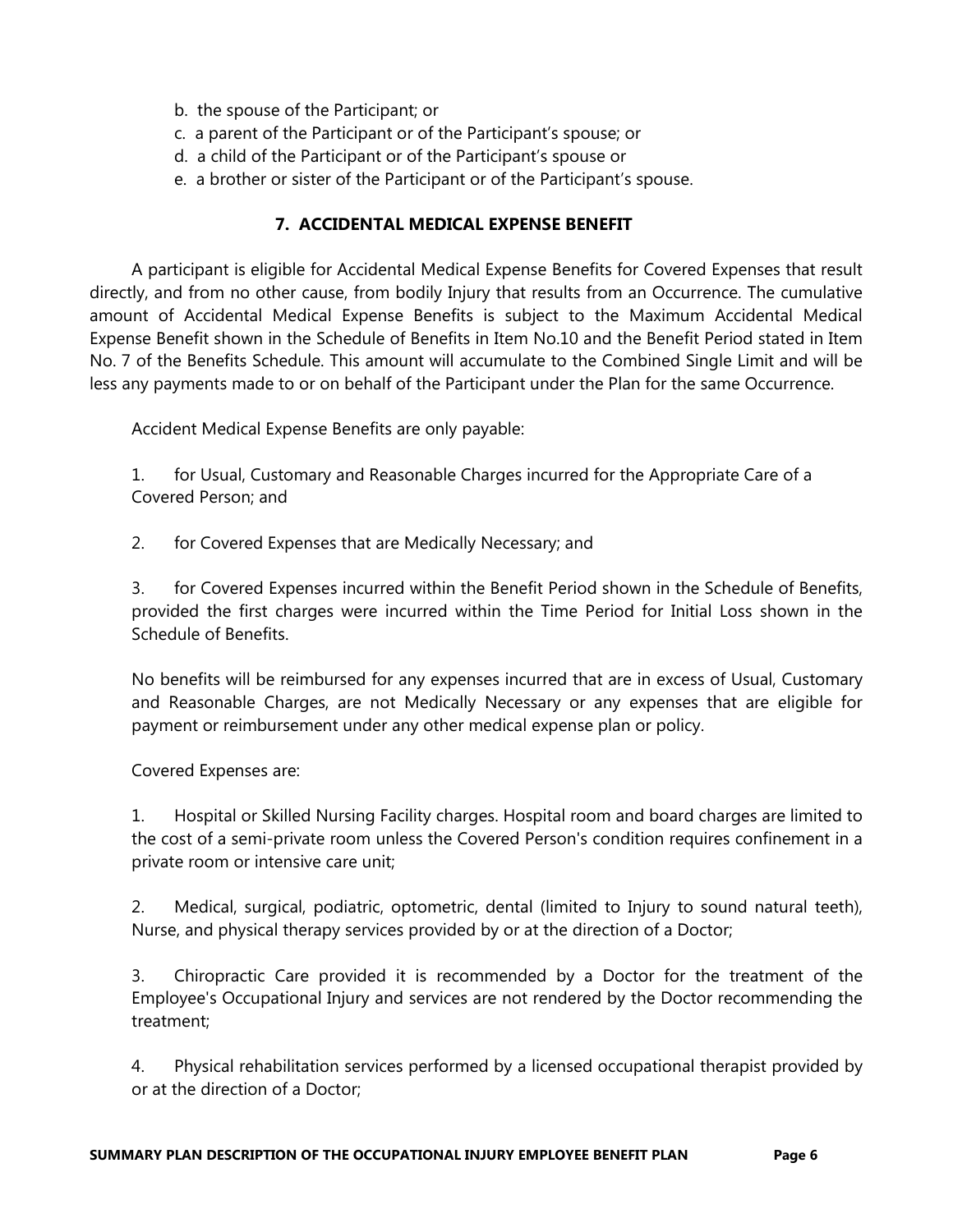- b. the spouse of the Participant; or
- c. a parent of the Participant or of the Participant's spouse; or
- d. a child of the Participant or of the Participant's spouse or
- e. a brother or sister of the Participant or of the Participant's spouse.

# 7. ACCIDENTAL MEDICAL EXPENSE BENEFIT

 A participant is eligible for Accidental Medical Expense Benefits for Covered Expenses that result directly, and from no other cause, from bodily Injury that results from an Occurrence. The cumulative amount of Accidental Medical Expense Benefits is subject to the Maximum Accidental Medical Expense Benefit shown in the Schedule of Benefits in Item No.10 and the Benefit Period stated in Item No. 7 of the Benefits Schedule. This amount will accumulate to the Combined Single Limit and will be less any payments made to or on behalf of the Participant under the Plan for the same Occurrence.

Accident Medical Expense Benefits are only payable:

1. for Usual, Customary and Reasonable Charges incurred for the Appropriate Care of a Covered Person; and

2. for Covered Expenses that are Medically Necessary; and

3. for Covered Expenses incurred within the Benefit Period shown in the Schedule of Benefits, provided the first charges were incurred within the Time Period for Initial Loss shown in the Schedule of Benefits.

No benefits will be reimbursed for any expenses incurred that are in excess of Usual, Customary and Reasonable Charges, are not Medically Necessary or any expenses that are eligible for payment or reimbursement under any other medical expense plan or policy.

Covered Expenses are:

1. Hospital or Skilled Nursing Facility charges. Hospital room and board charges are limited to the cost of a semi-private room unless the Covered Person's condition requires confinement in a private room or intensive care unit;

2. Medical, surgical, podiatric, optometric, dental (limited to Injury to sound natural teeth), Nurse, and physical therapy services provided by or at the direction of a Doctor;

3. Chiropractic Care provided it is recommended by a Doctor for the treatment of the Employee's Occupational Injury and services are not rendered by the Doctor recommending the treatment;

4. Physical rehabilitation services performed by a licensed occupational therapist provided by or at the direction of a Doctor;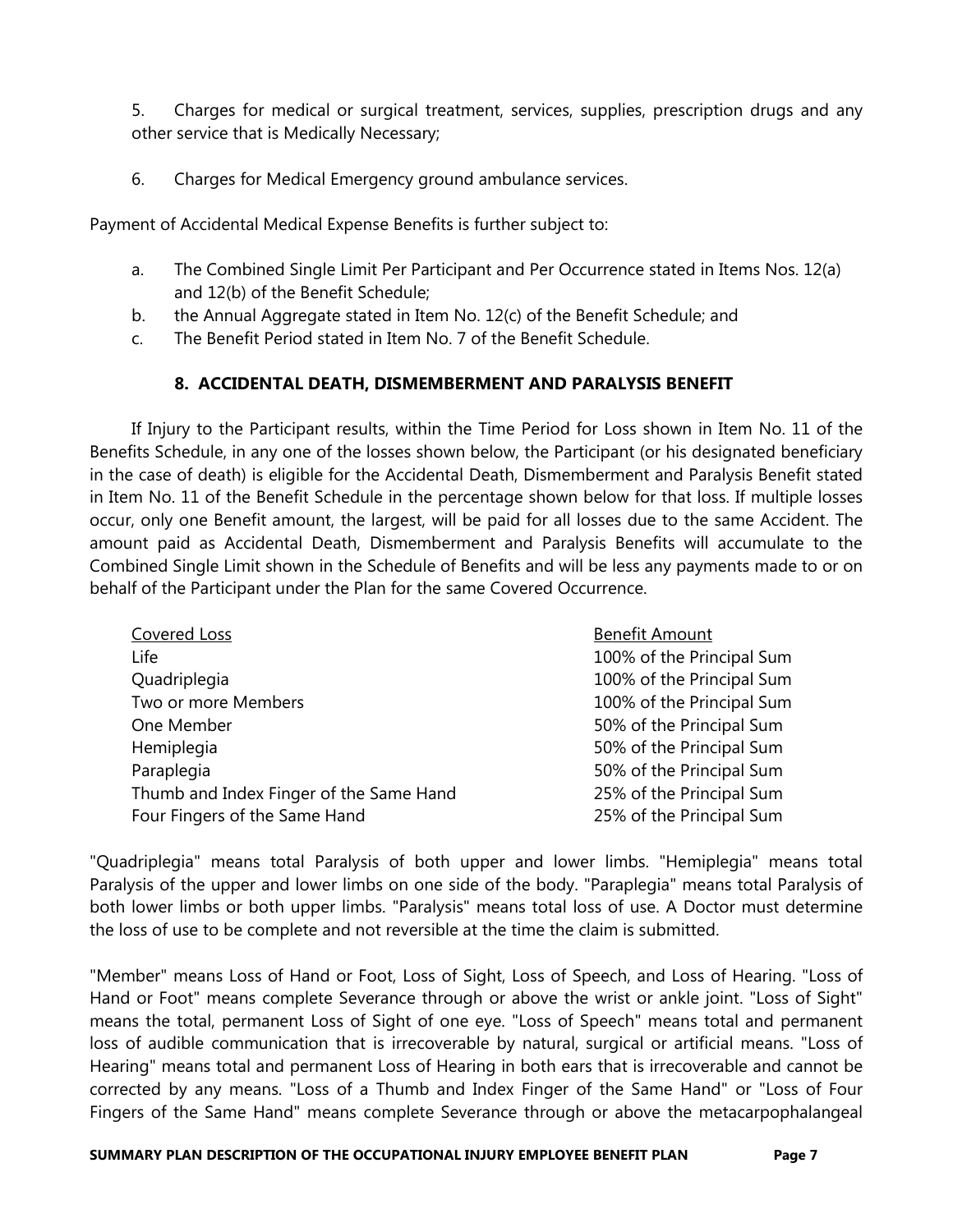5. Charges for medical or surgical treatment, services, supplies, prescription drugs and any other service that is Medically Necessary;

6. Charges for Medical Emergency ground ambulance services.

Payment of Accidental Medical Expense Benefits is further subject to:

- a. The Combined Single Limit Per Participant and Per Occurrence stated in Items Nos. 12(a) and 12(b) of the Benefit Schedule;
- b. the Annual Aggregate stated in Item No. 12(c) of the Benefit Schedule; and
- c. The Benefit Period stated in Item No. 7 of the Benefit Schedule.

# 8. ACCIDENTAL DEATH, DISMEMBERMENT AND PARALYSIS BENEFIT

 If Injury to the Participant results, within the Time Period for Loss shown in Item No. 11 of the Benefits Schedule, in any one of the losses shown below, the Participant (or his designated beneficiary in the case of death) is eligible for the Accidental Death, Dismemberment and Paralysis Benefit stated in Item No. 11 of the Benefit Schedule in the percentage shown below for that loss. If multiple losses occur, only one Benefit amount, the largest, will be paid for all losses due to the same Accident. The amount paid as Accidental Death, Dismemberment and Paralysis Benefits will accumulate to the Combined Single Limit shown in the Schedule of Benefits and will be less any payments made to or on behalf of the Participant under the Plan for the same Covered Occurrence.

| Covered Loss                            | <b>Benefit Amount</b>     |
|-----------------------------------------|---------------------------|
| Life                                    | 100% of the Principal Sum |
| Quadriplegia                            | 100% of the Principal Sum |
| Two or more Members                     | 100% of the Principal Sum |
| One Member                              | 50% of the Principal Sum  |
| Hemiplegia                              | 50% of the Principal Sum  |
| Paraplegia                              | 50% of the Principal Sum  |
| Thumb and Index Finger of the Same Hand | 25% of the Principal Sum  |
| Four Fingers of the Same Hand           | 25% of the Principal Sum  |

"Quadriplegia" means total Paralysis of both upper and lower limbs. "Hemiplegia" means total Paralysis of the upper and lower limbs on one side of the body. "Paraplegia" means total Paralysis of both lower limbs or both upper limbs. "Paralysis" means total loss of use. A Doctor must determine the loss of use to be complete and not reversible at the time the claim is submitted.

"Member" means Loss of Hand or Foot, Loss of Sight, Loss of Speech, and Loss of Hearing. "Loss of Hand or Foot" means complete Severance through or above the wrist or ankle joint. "Loss of Sight" means the total, permanent Loss of Sight of one eye. "Loss of Speech" means total and permanent loss of audible communication that is irrecoverable by natural, surgical or artificial means. "Loss of Hearing" means total and permanent Loss of Hearing in both ears that is irrecoverable and cannot be corrected by any means. "Loss of a Thumb and Index Finger of the Same Hand" or "Loss of Four Fingers of the Same Hand" means complete Severance through or above the metacarpophalangeal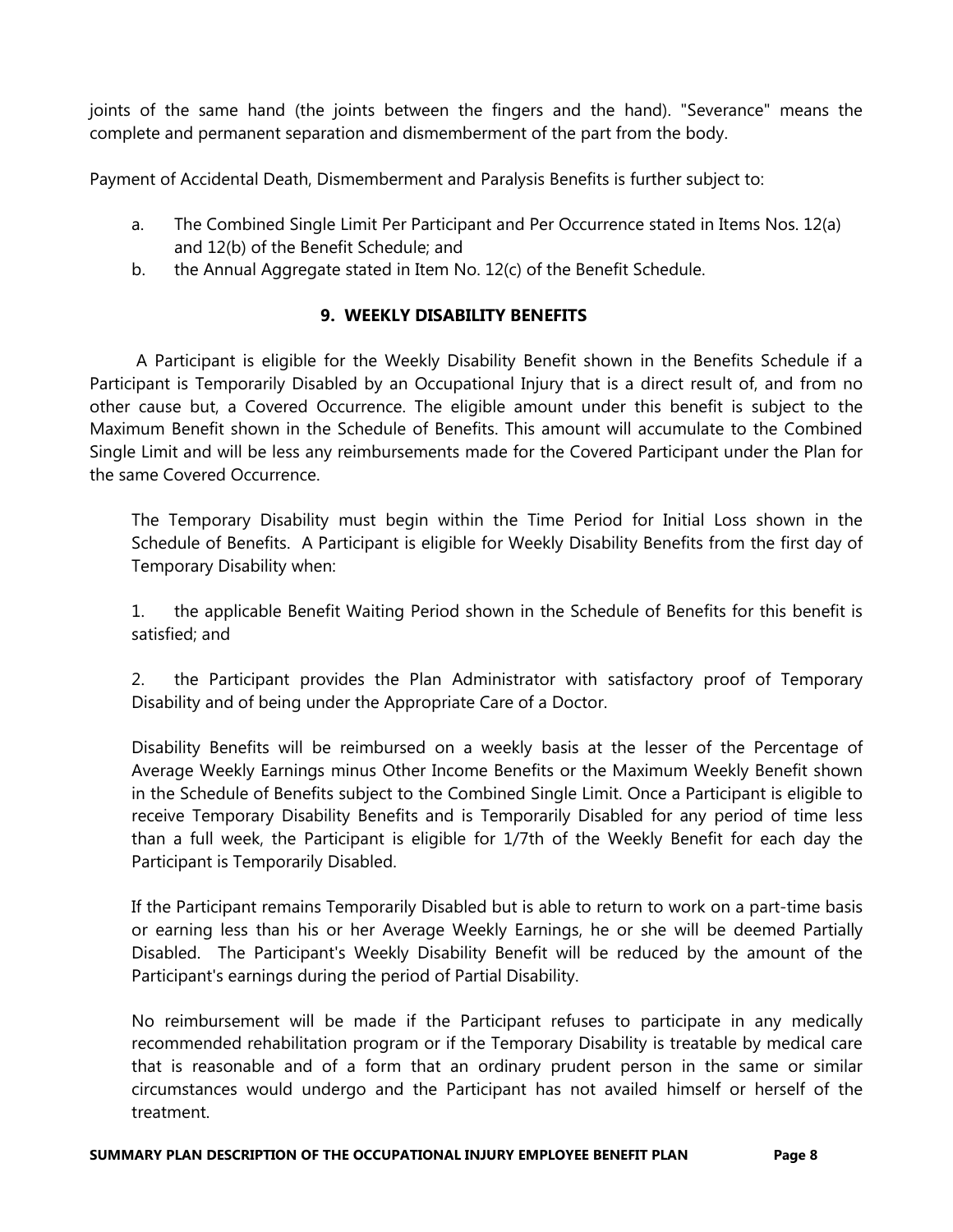joints of the same hand (the joints between the fingers and the hand). "Severance" means the complete and permanent separation and dismemberment of the part from the body.

Payment of Accidental Death, Dismemberment and Paralysis Benefits is further subject to:

- a. The Combined Single Limit Per Participant and Per Occurrence stated in Items Nos. 12(a) and 12(b) of the Benefit Schedule; and
- b. the Annual Aggregate stated in Item No. 12(c) of the Benefit Schedule.

# 9. WEEKLY DISABILITY BENEFITS

 A Participant is eligible for the Weekly Disability Benefit shown in the Benefits Schedule if a Participant is Temporarily Disabled by an Occupational Injury that is a direct result of, and from no other cause but, a Covered Occurrence. The eligible amount under this benefit is subject to the Maximum Benefit shown in the Schedule of Benefits. This amount will accumulate to the Combined Single Limit and will be less any reimbursements made for the Covered Participant under the Plan for the same Covered Occurrence.

The Temporary Disability must begin within the Time Period for Initial Loss shown in the Schedule of Benefits. A Participant is eligible for Weekly Disability Benefits from the first day of Temporary Disability when:

1. the applicable Benefit Waiting Period shown in the Schedule of Benefits for this benefit is satisfied; and

2. the Participant provides the Plan Administrator with satisfactory proof of Temporary Disability and of being under the Appropriate Care of a Doctor.

Disability Benefits will be reimbursed on a weekly basis at the lesser of the Percentage of Average Weekly Earnings minus Other Income Benefits or the Maximum Weekly Benefit shown in the Schedule of Benefits subject to the Combined Single Limit. Once a Participant is eligible to receive Temporary Disability Benefits and is Temporarily Disabled for any period of time less than a full week, the Participant is eligible for 1/7th of the Weekly Benefit for each day the Participant is Temporarily Disabled.

If the Participant remains Temporarily Disabled but is able to return to work on a part-time basis or earning less than his or her Average Weekly Earnings, he or she will be deemed Partially Disabled. The Participant's Weekly Disability Benefit will be reduced by the amount of the Participant's earnings during the period of Partial Disability.

No reimbursement will be made if the Participant refuses to participate in any medically recommended rehabilitation program or if the Temporary Disability is treatable by medical care that is reasonable and of a form that an ordinary prudent person in the same or similar circumstances would undergo and the Participant has not availed himself or herself of the treatment.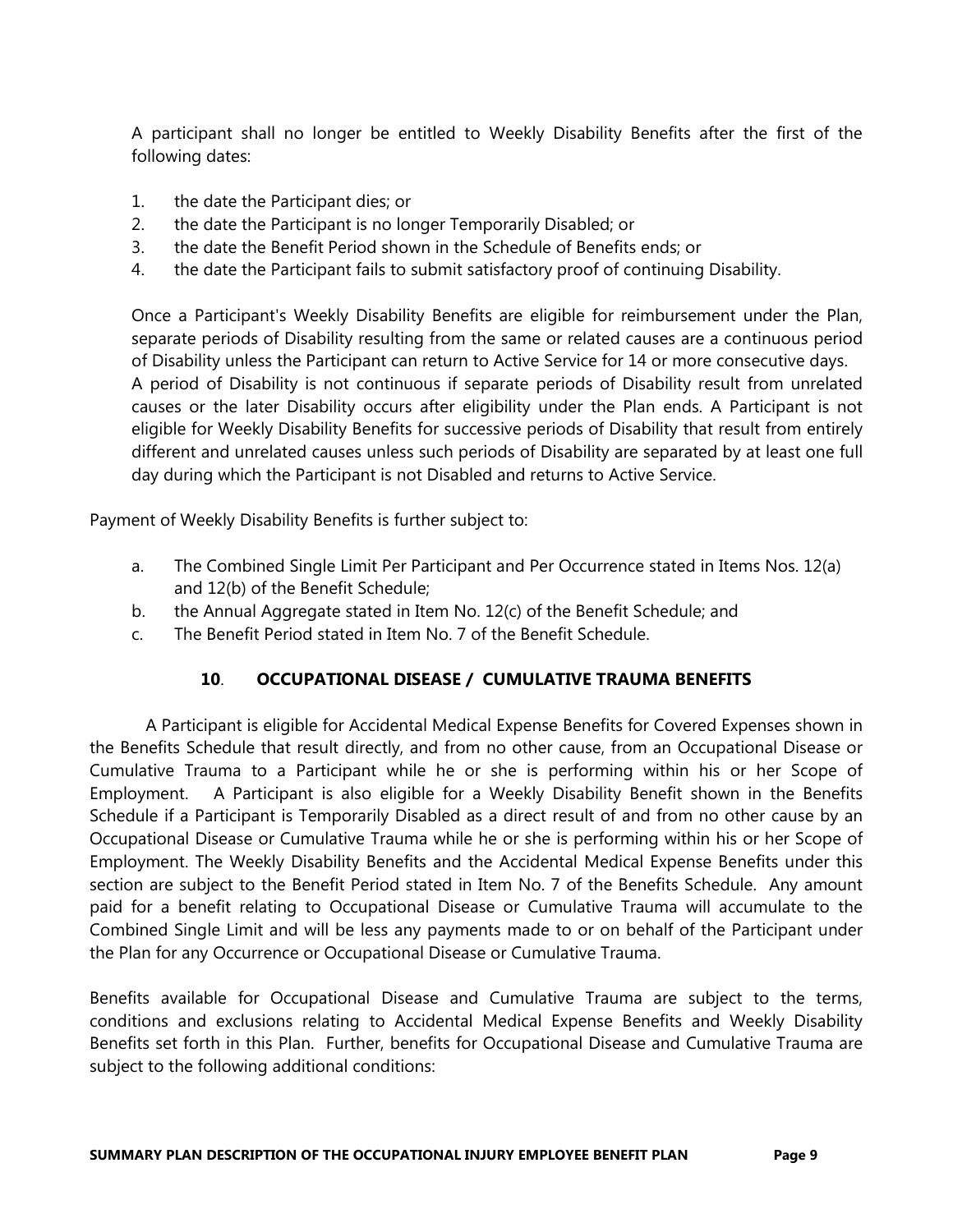A participant shall no longer be entitled to Weekly Disability Benefits after the first of the following dates:

- 1. the date the Participant dies; or
- 2. the date the Participant is no longer Temporarily Disabled; or
- 3. the date the Benefit Period shown in the Schedule of Benefits ends; or
- 4. the date the Participant fails to submit satisfactory proof of continuing Disability.

Once a Participant's Weekly Disability Benefits are eligible for reimbursement under the Plan, separate periods of Disability resulting from the same or related causes are a continuous period of Disability unless the Participant can return to Active Service for 14 or more consecutive days. A period of Disability is not continuous if separate periods of Disability result from unrelated causes or the later Disability occurs after eligibility under the Plan ends. A Participant is not eligible for Weekly Disability Benefits for successive periods of Disability that result from entirely different and unrelated causes unless such periods of Disability are separated by at least one full day during which the Participant is not Disabled and returns to Active Service.

Payment of Weekly Disability Benefits is further subject to:

- a. The Combined Single Limit Per Participant and Per Occurrence stated in Items Nos. 12(a) and 12(b) of the Benefit Schedule;
- b. the Annual Aggregate stated in Item No. 12(c) of the Benefit Schedule; and
- c. The Benefit Period stated in Item No. 7 of the Benefit Schedule.

# 10. OCCUPATIONAL DISEASE / CUMULATIVE TRAUMA BENEFITS

A Participant is eligible for Accidental Medical Expense Benefits for Covered Expenses shown in the Benefits Schedule that result directly, and from no other cause, from an Occupational Disease or Cumulative Trauma to a Participant while he or she is performing within his or her Scope of Employment. A Participant is also eligible for a Weekly Disability Benefit shown in the Benefits Schedule if a Participant is Temporarily Disabled as a direct result of and from no other cause by an Occupational Disease or Cumulative Trauma while he or she is performing within his or her Scope of Employment. The Weekly Disability Benefits and the Accidental Medical Expense Benefits under this section are subject to the Benefit Period stated in Item No. 7 of the Benefits Schedule. Any amount paid for a benefit relating to Occupational Disease or Cumulative Trauma will accumulate to the Combined Single Limit and will be less any payments made to or on behalf of the Participant under the Plan for any Occurrence or Occupational Disease or Cumulative Trauma.

Benefits available for Occupational Disease and Cumulative Trauma are subject to the terms, conditions and exclusions relating to Accidental Medical Expense Benefits and Weekly Disability Benefits set forth in this Plan. Further, benefits for Occupational Disease and Cumulative Trauma are subject to the following additional conditions: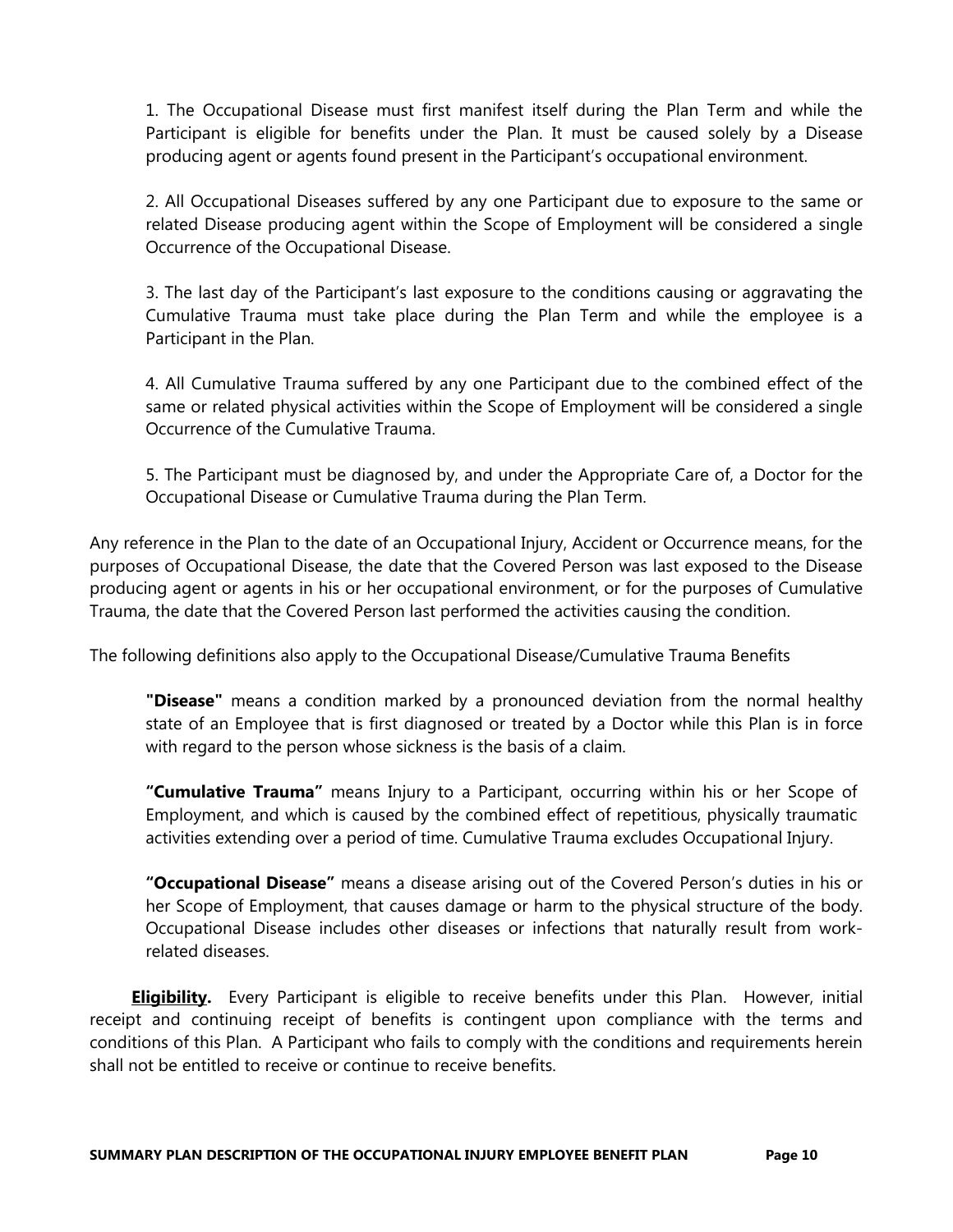1. The Occupational Disease must first manifest itself during the Plan Term and while the Participant is eligible for benefits under the Plan. It must be caused solely by a Disease producing agent or agents found present in the Participant's occupational environment.

2. All Occupational Diseases suffered by any one Participant due to exposure to the same or related Disease producing agent within the Scope of Employment will be considered a single Occurrence of the Occupational Disease.

3. The last day of the Participant's last exposure to the conditions causing or aggravating the Cumulative Trauma must take place during the Plan Term and while the employee is a Participant in the Plan.

4. All Cumulative Trauma suffered by any one Participant due to the combined effect of the same or related physical activities within the Scope of Employment will be considered a single Occurrence of the Cumulative Trauma.

5. The Participant must be diagnosed by, and under the Appropriate Care of, a Doctor for the Occupational Disease or Cumulative Trauma during the Plan Term.

Any reference in the Plan to the date of an Occupational Injury, Accident or Occurrence means, for the purposes of Occupational Disease, the date that the Covered Person was last exposed to the Disease producing agent or agents in his or her occupational environment, or for the purposes of Cumulative Trauma, the date that the Covered Person last performed the activities causing the condition.

The following definitions also apply to the Occupational Disease/Cumulative Trauma Benefits

"Disease" means a condition marked by a pronounced deviation from the normal healthy state of an Employee that is first diagnosed or treated by a Doctor while this Plan is in force with regard to the person whose sickness is the basis of a claim.

"**Cumulative Trauma**" means Injury to a Participant, occurring within his or her Scope of Employment, and which is caused by the combined effect of repetitious, physically traumatic activities extending over a period of time. Cumulative Trauma excludes Occupational Injury.

"Occupational Disease" means a disease arising out of the Covered Person's duties in his or her Scope of Employment, that causes damage or harm to the physical structure of the body. Occupational Disease includes other diseases or infections that naturally result from workrelated diseases.

**Eligibility.** Every Participant is eligible to receive benefits under this Plan. However, initial receipt and continuing receipt of benefits is contingent upon compliance with the terms and conditions of this Plan. A Participant who fails to comply with the conditions and requirements herein shall not be entitled to receive or continue to receive benefits.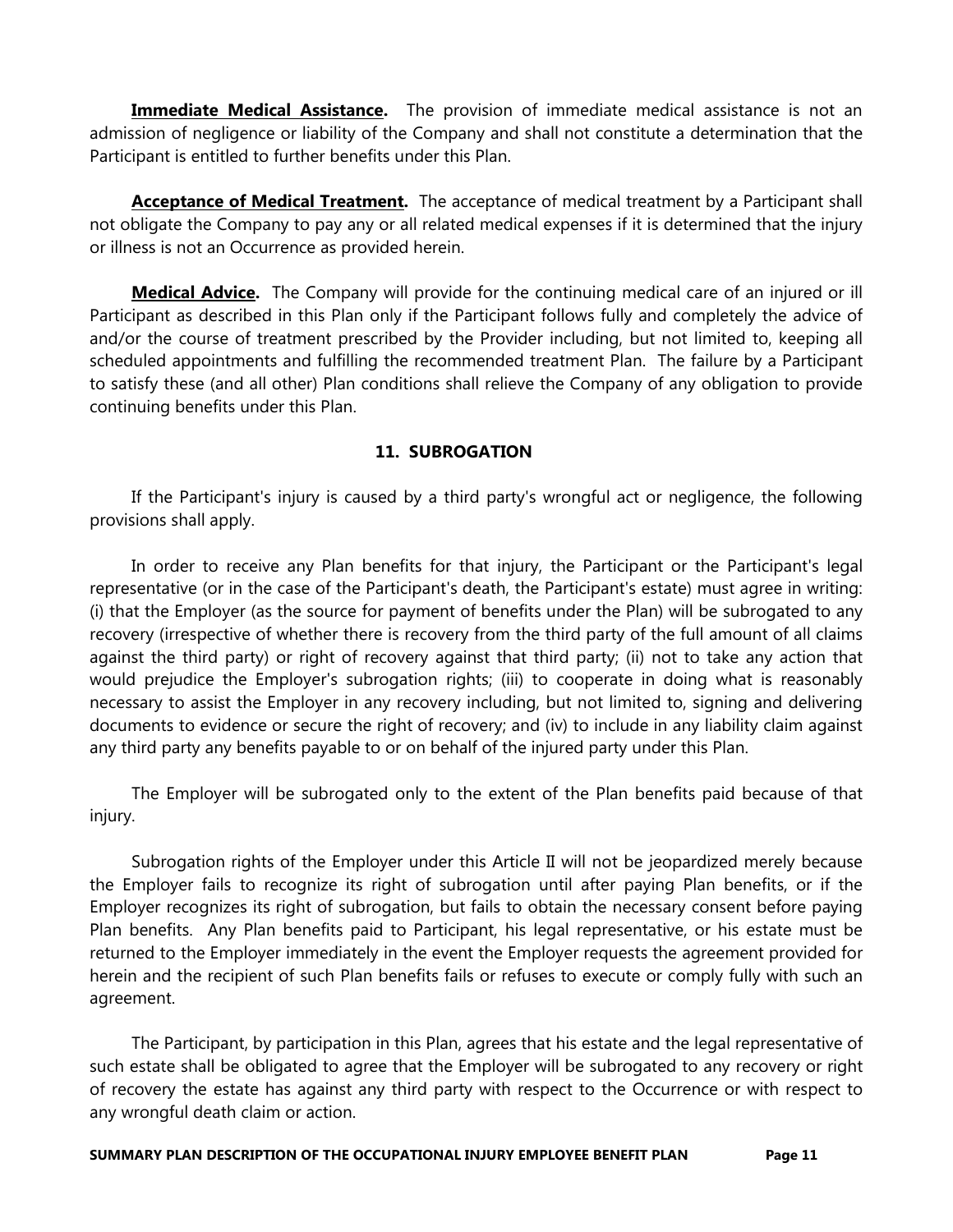**Immediate Medical Assistance.** The provision of immediate medical assistance is not an admission of negligence or liability of the Company and shall not constitute a determination that the Participant is entitled to further benefits under this Plan.

Acceptance of Medical Treatment. The acceptance of medical treatment by a Participant shall not obligate the Company to pay any or all related medical expenses if it is determined that the injury or illness is not an Occurrence as provided herein.

Medical Advice. The Company will provide for the continuing medical care of an injured or ill Participant as described in this Plan only if the Participant follows fully and completely the advice of and/or the course of treatment prescribed by the Provider including, but not limited to, keeping all scheduled appointments and fulfilling the recommended treatment Plan. The failure by a Participant to satisfy these (and all other) Plan conditions shall relieve the Company of any obligation to provide continuing benefits under this Plan.

# 11. SUBROGATION

 If the Participant's injury is caused by a third party's wrongful act or negligence, the following provisions shall apply.

 In order to receive any Plan benefits for that injury, the Participant or the Participant's legal representative (or in the case of the Participant's death, the Participant's estate) must agree in writing: (i) that the Employer (as the source for payment of benefits under the Plan) will be subrogated to any recovery (irrespective of whether there is recovery from the third party of the full amount of all claims against the third party) or right of recovery against that third party; (ii) not to take any action that would prejudice the Employer's subrogation rights; (iii) to cooperate in doing what is reasonably necessary to assist the Employer in any recovery including, but not limited to, signing and delivering documents to evidence or secure the right of recovery; and (iv) to include in any liability claim against any third party any benefits payable to or on behalf of the injured party under this Plan.

 The Employer will be subrogated only to the extent of the Plan benefits paid because of that injury.

 Subrogation rights of the Employer under this Article II will not be jeopardized merely because the Employer fails to recognize its right of subrogation until after paying Plan benefits, or if the Employer recognizes its right of subrogation, but fails to obtain the necessary consent before paying Plan benefits. Any Plan benefits paid to Participant, his legal representative, or his estate must be returned to the Employer immediately in the event the Employer requests the agreement provided for herein and the recipient of such Plan benefits fails or refuses to execute or comply fully with such an agreement.

 The Participant, by participation in this Plan, agrees that his estate and the legal representative of such estate shall be obligated to agree that the Employer will be subrogated to any recovery or right of recovery the estate has against any third party with respect to the Occurrence or with respect to any wrongful death claim or action.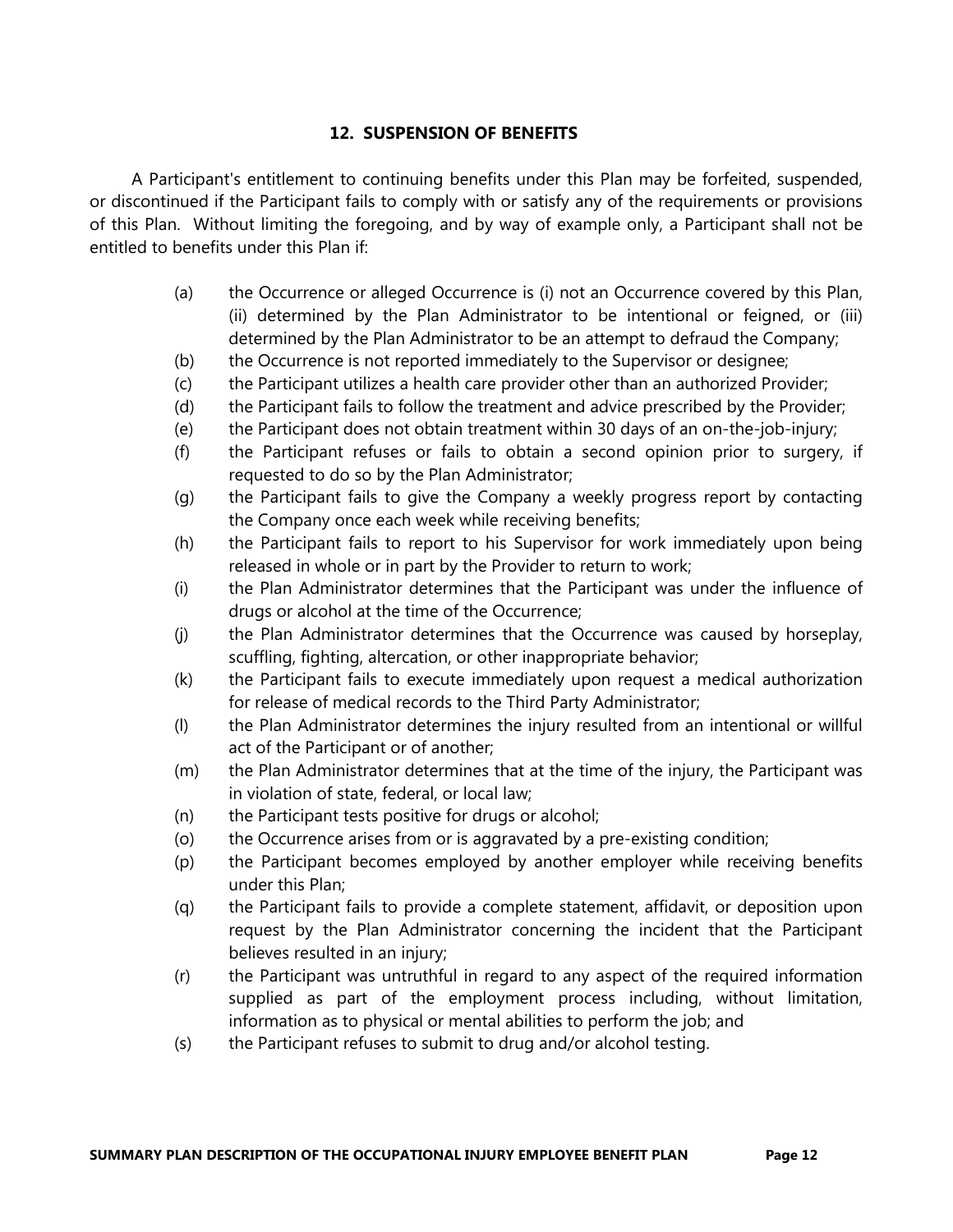# 12. SUSPENSION OF BENEFITS

 A Participant's entitlement to continuing benefits under this Plan may be forfeited, suspended, or discontinued if the Participant fails to comply with or satisfy any of the requirements or provisions of this Plan. Without limiting the foregoing, and by way of example only, a Participant shall not be entitled to benefits under this Plan if:

- (a) the Occurrence or alleged Occurrence is (i) not an Occurrence covered by this Plan, (ii) determined by the Plan Administrator to be intentional or feigned, or (iii) determined by the Plan Administrator to be an attempt to defraud the Company;
- (b) the Occurrence is not reported immediately to the Supervisor or designee;
- (c) the Participant utilizes a health care provider other than an authorized Provider;
- (d) the Participant fails to follow the treatment and advice prescribed by the Provider;
- (e) the Participant does not obtain treatment within 30 days of an on-the-job-injury;
- (f) the Participant refuses or fails to obtain a second opinion prior to surgery, if requested to do so by the Plan Administrator;
- (g) the Participant fails to give the Company a weekly progress report by contacting the Company once each week while receiving benefits;
- (h) the Participant fails to report to his Supervisor for work immediately upon being released in whole or in part by the Provider to return to work;
- (i) the Plan Administrator determines that the Participant was under the influence of drugs or alcohol at the time of the Occurrence;
- (j) the Plan Administrator determines that the Occurrence was caused by horseplay, scuffling, fighting, altercation, or other inappropriate behavior;
- (k) the Participant fails to execute immediately upon request a medical authorization for release of medical records to the Third Party Administrator;
- (l) the Plan Administrator determines the injury resulted from an intentional or willful act of the Participant or of another;
- (m) the Plan Administrator determines that at the time of the injury, the Participant was in violation of state, federal, or local law;
- (n) the Participant tests positive for drugs or alcohol;
- (o) the Occurrence arises from or is aggravated by a pre-existing condition;
- (p) the Participant becomes employed by another employer while receiving benefits under this Plan;
- (q) the Participant fails to provide a complete statement, affidavit, or deposition upon request by the Plan Administrator concerning the incident that the Participant believes resulted in an injury;
- (r) the Participant was untruthful in regard to any aspect of the required information supplied as part of the employment process including, without limitation, information as to physical or mental abilities to perform the job; and
- (s) the Participant refuses to submit to drug and/or alcohol testing.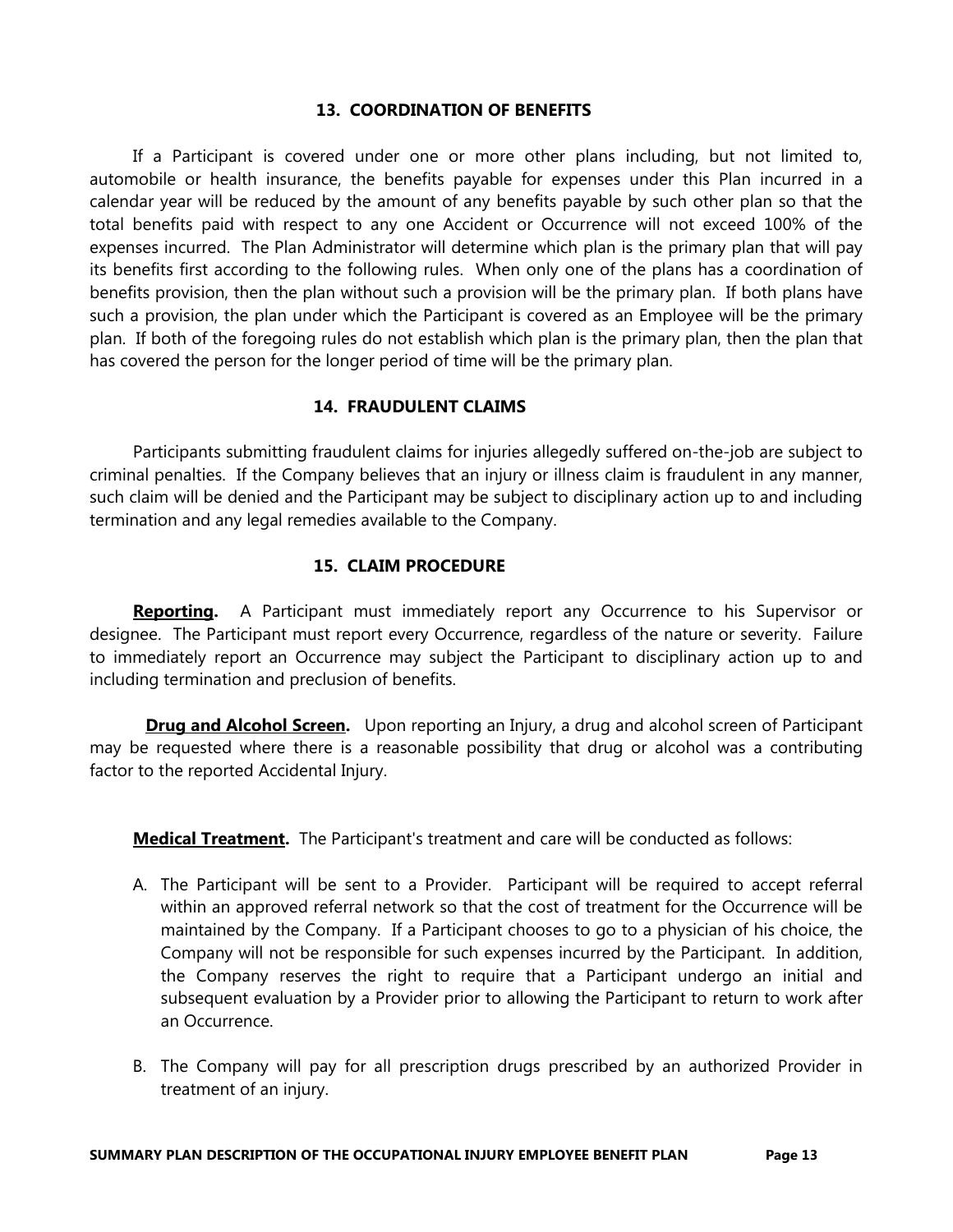# 13. COORDINATION OF BENEFITS

 If a Participant is covered under one or more other plans including, but not limited to, automobile or health insurance, the benefits payable for expenses under this Plan incurred in a calendar year will be reduced by the amount of any benefits payable by such other plan so that the total benefits paid with respect to any one Accident or Occurrence will not exceed 100% of the expenses incurred. The Plan Administrator will determine which plan is the primary plan that will pay its benefits first according to the following rules. When only one of the plans has a coordination of benefits provision, then the plan without such a provision will be the primary plan. If both plans have such a provision, the plan under which the Participant is covered as an Employee will be the primary plan. If both of the foregoing rules do not establish which plan is the primary plan, then the plan that has covered the person for the longer period of time will be the primary plan.

# 14. FRAUDULENT CLAIMS

 Participants submitting fraudulent claims for injuries allegedly suffered on-the-job are subject to criminal penalties. If the Company believes that an injury or illness claim is fraudulent in any manner, such claim will be denied and the Participant may be subject to disciplinary action up to and including termination and any legal remedies available to the Company.

# 15. CLAIM PROCEDURE

**Reporting.** A Participant must immediately report any Occurrence to his Supervisor or designee. The Participant must report every Occurrence, regardless of the nature or severity. Failure to immediately report an Occurrence may subject the Participant to disciplinary action up to and including termination and preclusion of benefits.

**Drug and Alcohol Screen.** Upon reporting an Injury, a drug and alcohol screen of Participant may be requested where there is a reasonable possibility that drug or alcohol was a contributing factor to the reported Accidental Injury.

**Medical Treatment.** The Participant's treatment and care will be conducted as follows:

- A. The Participant will be sent to a Provider. Participant will be required to accept referral within an approved referral network so that the cost of treatment for the Occurrence will be maintained by the Company. If a Participant chooses to go to a physician of his choice, the Company will not be responsible for such expenses incurred by the Participant. In addition, the Company reserves the right to require that a Participant undergo an initial and subsequent evaluation by a Provider prior to allowing the Participant to return to work after an Occurrence.
- B. The Company will pay for all prescription drugs prescribed by an authorized Provider in treatment of an injury.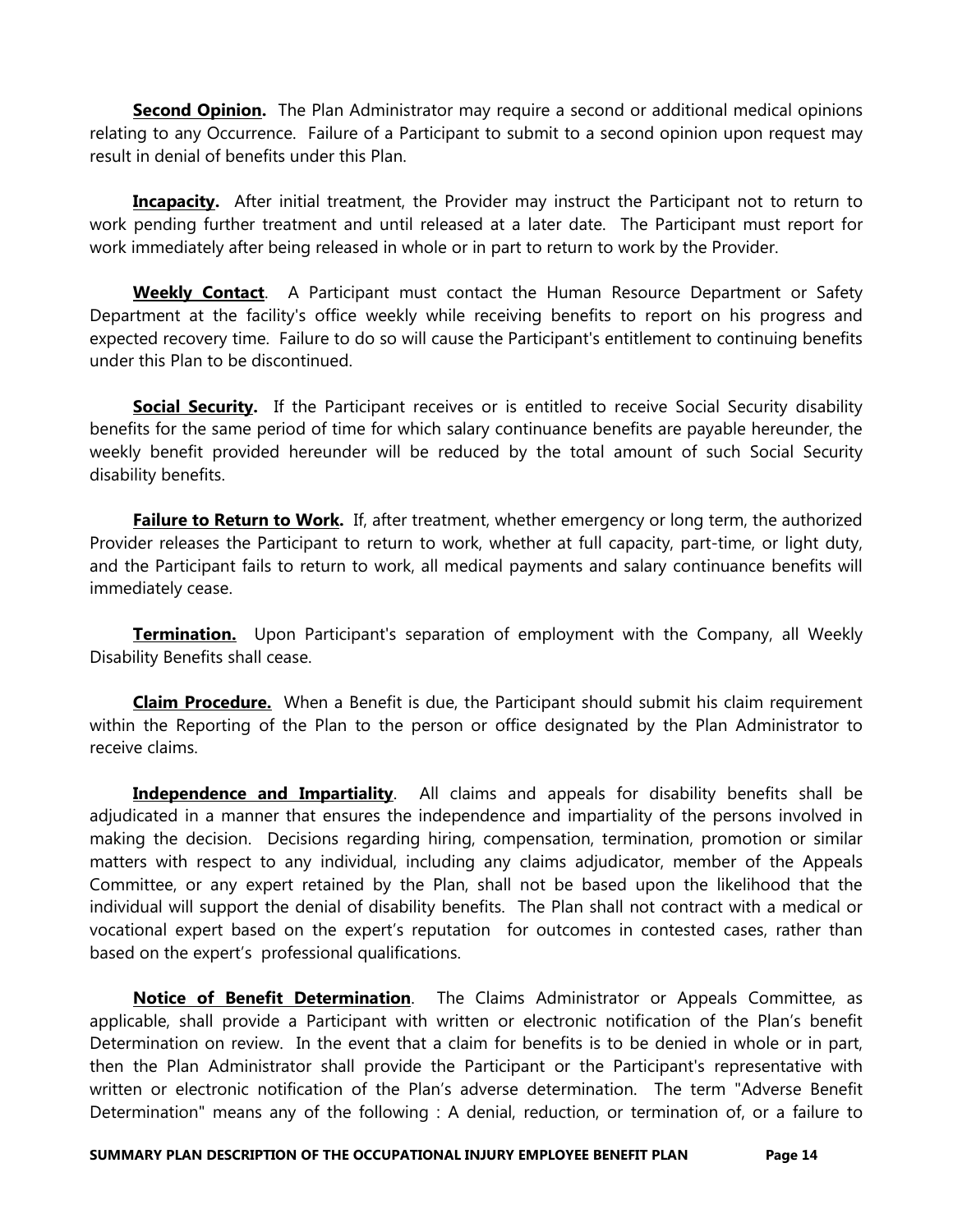Second Opinion. The Plan Administrator may require a second or additional medical opinions relating to any Occurrence. Failure of a Participant to submit to a second opinion upon request may result in denial of benefits under this Plan.

**Incapacity.** After initial treatment, the Provider may instruct the Participant not to return to work pending further treatment and until released at a later date. The Participant must report for work immediately after being released in whole or in part to return to work by the Provider.

**Weekly Contact**. A Participant must contact the Human Resource Department or Safety Department at the facility's office weekly while receiving benefits to report on his progress and expected recovery time. Failure to do so will cause the Participant's entitlement to continuing benefits under this Plan to be discontinued.

**Social Security.** If the Participant receives or is entitled to receive Social Security disability benefits for the same period of time for which salary continuance benefits are payable hereunder, the weekly benefit provided hereunder will be reduced by the total amount of such Social Security disability benefits.

**Failure to Return to Work.** If, after treatment, whether emergency or long term, the authorized Provider releases the Participant to return to work, whether at full capacity, part-time, or light duty, and the Participant fails to return to work, all medical payments and salary continuance benefits will immediately cease.

**Termination.** Upon Participant's separation of employment with the Company, all Weekly Disability Benefits shall cease.

**Claim Procedure.** When a Benefit is due, the Participant should submit his claim requirement within the Reporting of the Plan to the person or office designated by the Plan Administrator to receive claims.

**Independence and Impartiality**. All claims and appeals for disability benefits shall be adjudicated in a manner that ensures the independence and impartiality of the persons involved in making the decision. Decisions regarding hiring, compensation, termination, promotion or similar matters with respect to any individual, including any claims adjudicator, member of the Appeals Committee, or any expert retained by the Plan, shall not be based upon the likelihood that the individual will support the denial of disability benefits. The Plan shall not contract with a medical or vocational expert based on the expert's reputation for outcomes in contested cases, rather than based on the expert's professional qualifications.

Notice of Benefit Determination. The Claims Administrator or Appeals Committee, as applicable, shall provide a Participant with written or electronic notification of the Plan's benefit Determination on review. In the event that a claim for benefits is to be denied in whole or in part, then the Plan Administrator shall provide the Participant or the Participant's representative with written or electronic notification of the Plan's adverse determination. The term "Adverse Benefit Determination" means any of the following : A denial, reduction, or termination of, or a failure to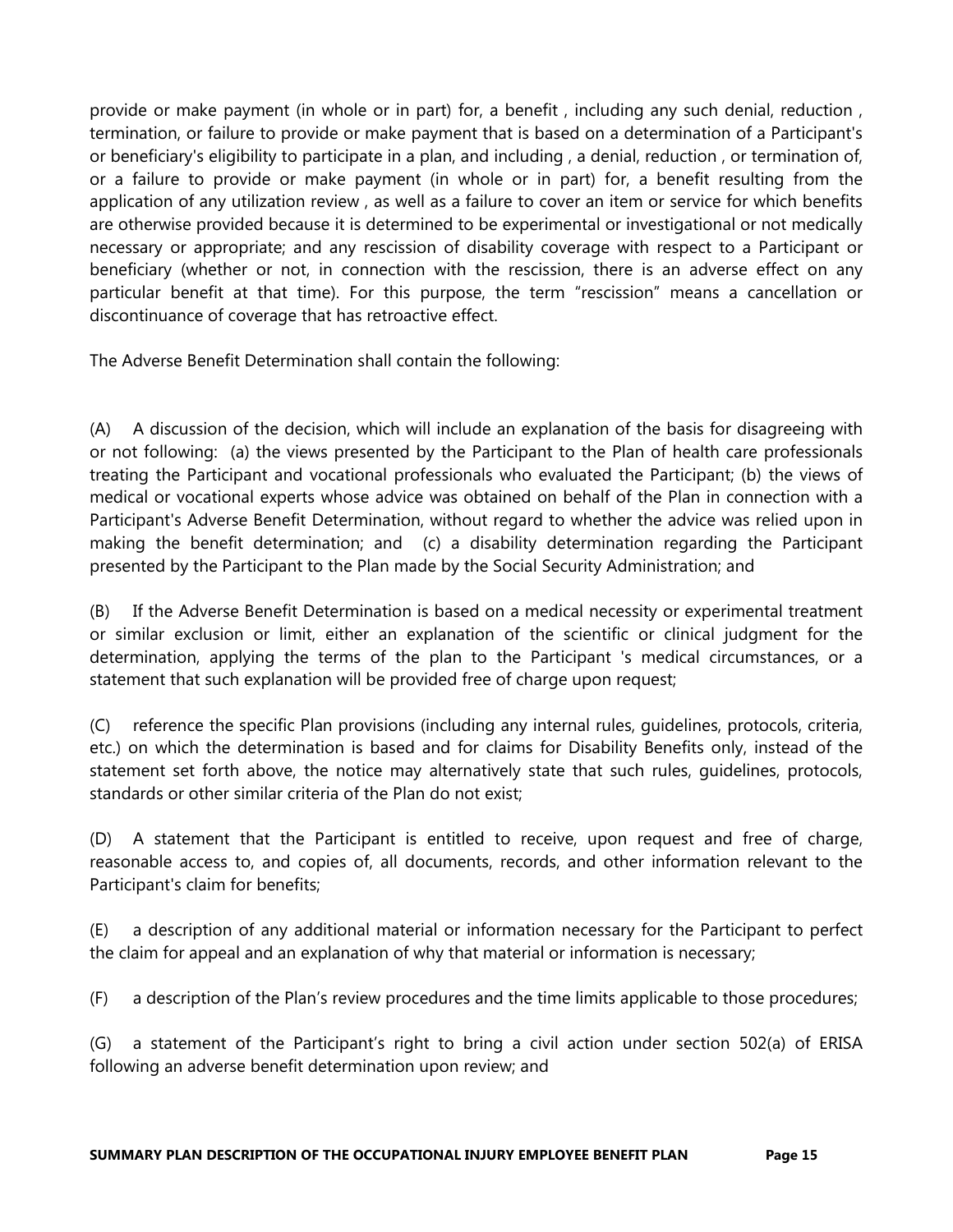provide or make payment (in whole or in part) for, a benefit , including any such denial, reduction , termination, or failure to provide or make payment that is based on a determination of a Participant's or beneficiary's eligibility to participate in a plan, and including , a denial, reduction , or termination of, or a failure to provide or make payment (in whole or in part) for, a benefit resulting from the application of any utilization review , as well as a failure to cover an item or service for which benefits are otherwise provided because it is determined to be experimental or investigational or not medically necessary or appropriate; and any rescission of disability coverage with respect to a Participant or beneficiary (whether or not, in connection with the rescission, there is an adverse effect on any particular benefit at that time). For this purpose, the term "rescission" means a cancellation or discontinuance of coverage that has retroactive effect.

The Adverse Benefit Determination shall contain the following:

(A) A discussion of the decision, which will include an explanation of the basis for disagreeing with or not following: (a) the views presented by the Participant to the Plan of health care professionals treating the Participant and vocational professionals who evaluated the Participant; (b) the views of medical or vocational experts whose advice was obtained on behalf of the Plan in connection with a Participant's Adverse Benefit Determination, without regard to whether the advice was relied upon in making the benefit determination; and (c) a disability determination regarding the Participant presented by the Participant to the Plan made by the Social Security Administration; and

(B) If the Adverse Benefit Determination is based on a medical necessity or experimental treatment or similar exclusion or limit, either an explanation of the scientific or clinical judgment for the determination, applying the terms of the plan to the Participant 's medical circumstances, or a statement that such explanation will be provided free of charge upon request;

(C) reference the specific Plan provisions (including any internal rules, guidelines, protocols, criteria, etc.) on which the determination is based and for claims for Disability Benefits only, instead of the statement set forth above, the notice may alternatively state that such rules, guidelines, protocols, standards or other similar criteria of the Plan do not exist;

(D) A statement that the Participant is entitled to receive, upon request and free of charge, reasonable access to, and copies of, all documents, records, and other information relevant to the Participant's claim for benefits;

(E) a description of any additional material or information necessary for the Participant to perfect the claim for appeal and an explanation of why that material or information is necessary;

(F) a description of the Plan's review procedures and the time limits applicable to those procedures;

(G) a statement of the Participant's right to bring a civil action under section 502(a) of ERISA following an adverse benefit determination upon review; and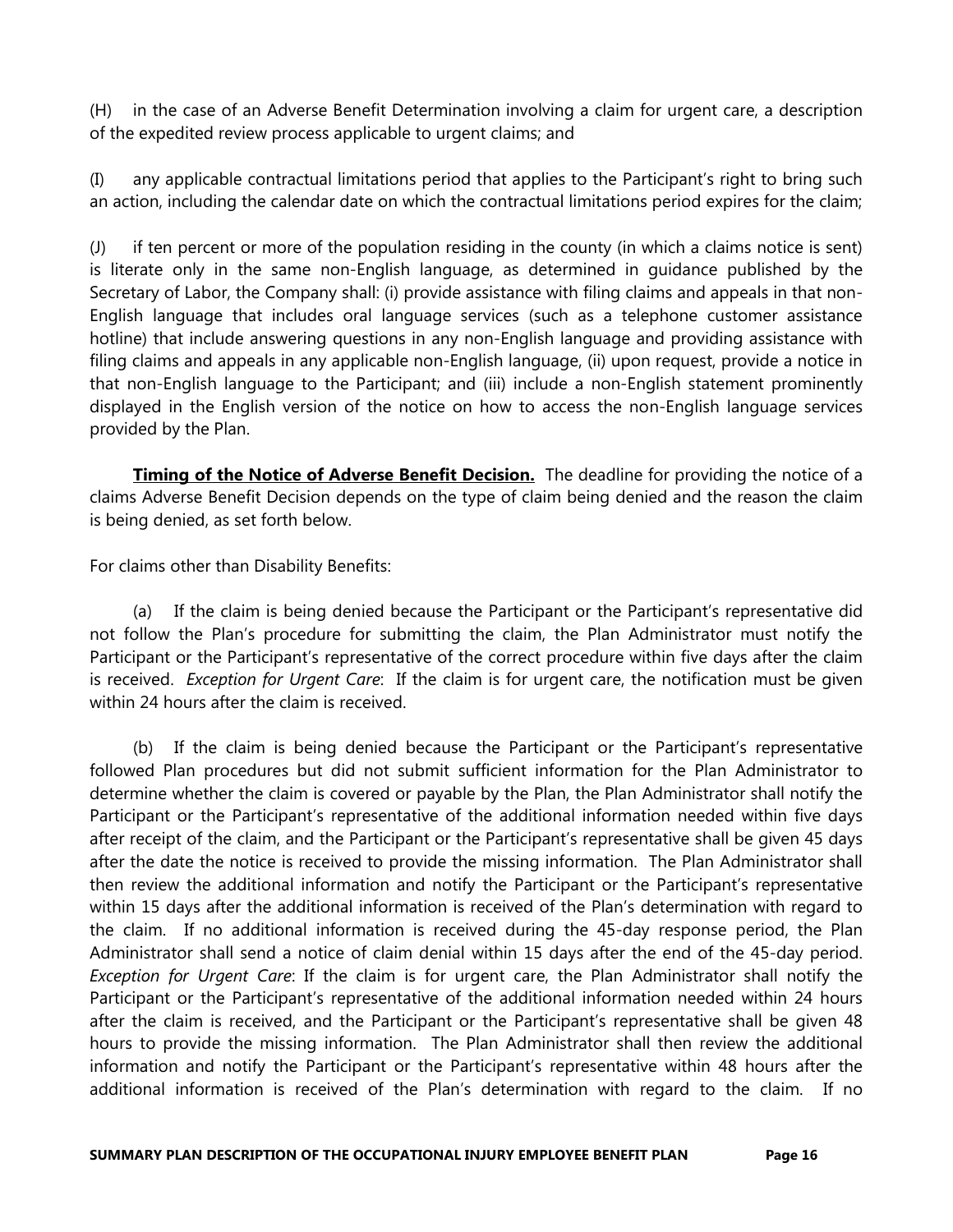(H) in the case of an Adverse Benefit Determination involving a claim for urgent care, a description of the expedited review process applicable to urgent claims; and

(I) any applicable contractual limitations period that applies to the Participant's right to bring such an action, including the calendar date on which the contractual limitations period expires for the claim;

(J) if ten percent or more of the population residing in the county (in which a claims notice is sent) is literate only in the same non-English language, as determined in guidance published by the Secretary of Labor, the Company shall: (i) provide assistance with filing claims and appeals in that non-English language that includes oral language services (such as a telephone customer assistance hotline) that include answering questions in any non-English language and providing assistance with filing claims and appeals in any applicable non-English language, (ii) upon request, provide a notice in that non-English language to the Participant; and (iii) include a non-English statement prominently displayed in the English version of the notice on how to access the non-English language services provided by the Plan.

**Timing of the Notice of Adverse Benefit Decision.** The deadline for providing the notice of a claims Adverse Benefit Decision depends on the type of claim being denied and the reason the claim is being denied, as set forth below.

For claims other than Disability Benefits:

 (a) If the claim is being denied because the Participant or the Participant's representative did not follow the Plan's procedure for submitting the claim, the Plan Administrator must notify the Participant or the Participant's representative of the correct procedure within five days after the claim is received. *Exception for Urgent Care*: If the claim is for urgent care, the notification must be given within 24 hours after the claim is received.

 (b) If the claim is being denied because the Participant or the Participant's representative followed Plan procedures but did not submit sufficient information for the Plan Administrator to determine whether the claim is covered or payable by the Plan, the Plan Administrator shall notify the Participant or the Participant's representative of the additional information needed within five days after receipt of the claim, and the Participant or the Participant's representative shall be given 45 days after the date the notice is received to provide the missing information. The Plan Administrator shall then review the additional information and notify the Participant or the Participant's representative within 15 days after the additional information is received of the Plan's determination with regard to the claim. If no additional information is received during the 45-day response period, the Plan Administrator shall send a notice of claim denial within 15 days after the end of the 45-day period. Exception for Urgent Care: If the claim is for urgent care, the Plan Administrator shall notify the Participant or the Participant's representative of the additional information needed within 24 hours after the claim is received, and the Participant or the Participant's representative shall be given 48 hours to provide the missing information. The Plan Administrator shall then review the additional information and notify the Participant or the Participant's representative within 48 hours after the additional information is received of the Plan's determination with regard to the claim. If no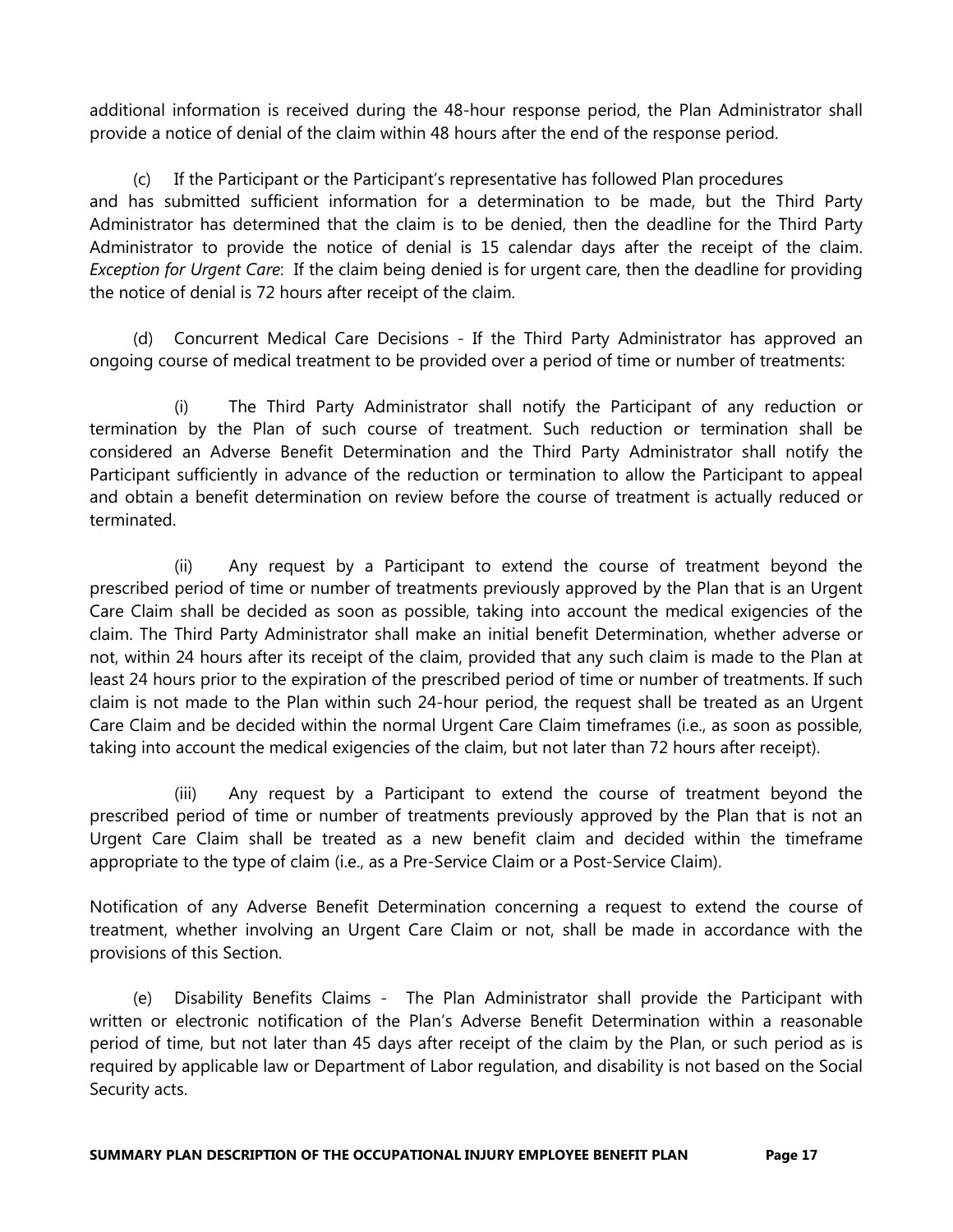additional information is received during the 48-hour response period, the Plan Administrator shall provide a notice of denial of the claim within 48 hours after the end of the response period.

 (c) If the Participant or the Participant's representative has followed Plan procedures and has submitted sufficient information for a determination to be made, but the Third Party Administrator has determined that the claim is to be denied, then the deadline for the Third Party Administrator to provide the notice of denial is 15 calendar days after the receipt of the claim. Exception for Urgent Care: If the claim being denied is for urgent care, then the deadline for providing the notice of denial is 72 hours after receipt of the claim.

 (d) Concurrent Medical Care Decisions - If the Third Party Administrator has approved an ongoing course of medical treatment to be provided over a period of time or number of treatments:

 (i) The Third Party Administrator shall notify the Participant of any reduction or termination by the Plan of such course of treatment. Such reduction or termination shall be considered an Adverse Benefit Determination and the Third Party Administrator shall notify the Participant sufficiently in advance of the reduction or termination to allow the Participant to appeal and obtain a benefit determination on review before the course of treatment is actually reduced or terminated.

 (ii) Any request by a Participant to extend the course of treatment beyond the prescribed period of time or number of treatments previously approved by the Plan that is an Urgent Care Claim shall be decided as soon as possible, taking into account the medical exigencies of the claim. The Third Party Administrator shall make an initial benefit Determination, whether adverse or not, within 24 hours after its receipt of the claim, provided that any such claim is made to the Plan at least 24 hours prior to the expiration of the prescribed period of time or number of treatments. If such claim is not made to the Plan within such 24-hour period, the request shall be treated as an Urgent Care Claim and be decided within the normal Urgent Care Claim timeframes (i.e., as soon as possible, taking into account the medical exigencies of the claim, but not later than 72 hours after receipt).

 (iii) Any request by a Participant to extend the course of treatment beyond the prescribed period of time or number of treatments previously approved by the Plan that is not an Urgent Care Claim shall be treated as a new benefit claim and decided within the timeframe appropriate to the type of claim (i.e., as a Pre-Service Claim or a Post-Service Claim).

Notification of any Adverse Benefit Determination concerning a request to extend the course of treatment, whether involving an Urgent Care Claim or not, shall be made in accordance with the provisions of this Section.

 (e) Disability Benefits Claims - The Plan Administrator shall provide the Participant with written or electronic notification of the Plan's Adverse Benefit Determination within a reasonable period of time, but not later than 45 days after receipt of the claim by the Plan, or such period as is required by applicable law or Department of Labor regulation, and disability is not based on the Social Security acts.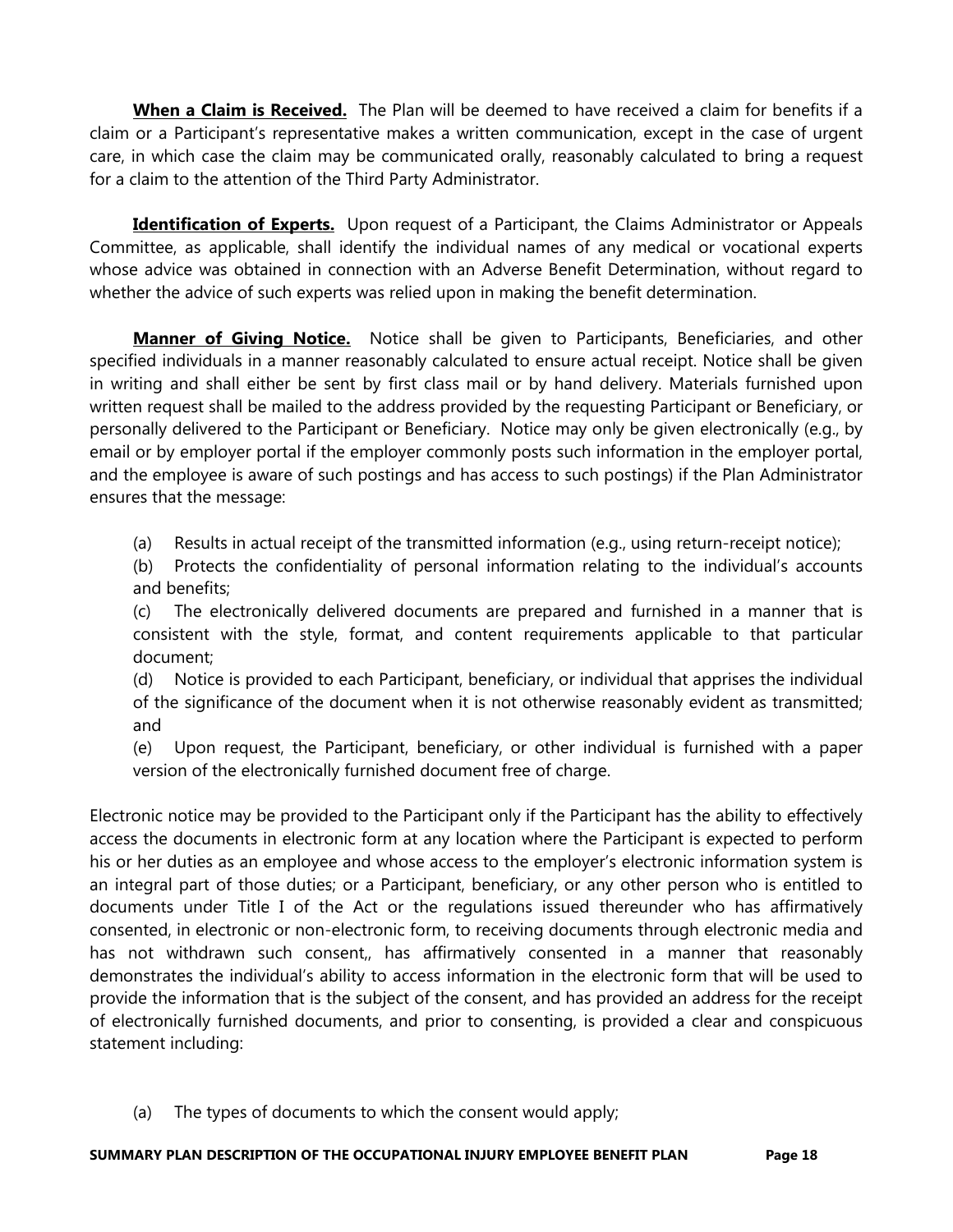When a Claim is Received. The Plan will be deemed to have received a claim for benefits if a claim or a Participant's representative makes a written communication, except in the case of urgent care, in which case the claim may be communicated orally, reasonably calculated to bring a request for a claim to the attention of the Third Party Administrator.

Identification of Experts. Upon request of a Participant, the Claims Administrator or Appeals Committee, as applicable, shall identify the individual names of any medical or vocational experts whose advice was obtained in connection with an Adverse Benefit Determination, without regard to whether the advice of such experts was relied upon in making the benefit determination.

**Manner of Giving Notice.** Notice shall be given to Participants, Beneficiaries, and other specified individuals in a manner reasonably calculated to ensure actual receipt. Notice shall be given in writing and shall either be sent by first class mail or by hand delivery. Materials furnished upon written request shall be mailed to the address provided by the requesting Participant or Beneficiary, or personally delivered to the Participant or Beneficiary. Notice may only be given electronically (e.g., by email or by employer portal if the employer commonly posts such information in the employer portal, and the employee is aware of such postings and has access to such postings) if the Plan Administrator ensures that the message:

(a) Results in actual receipt of the transmitted information (e.g., using return-receipt notice);

 (b) Protects the confidentiality of personal information relating to the individual's accounts and benefits;

 (c) The electronically delivered documents are prepared and furnished in a manner that is consistent with the style, format, and content requirements applicable to that particular document;

 (d) Notice is provided to each Participant, beneficiary, or individual that apprises the individual of the significance of the document when it is not otherwise reasonably evident as transmitted; and

 (e) Upon request, the Participant, beneficiary, or other individual is furnished with a paper version of the electronically furnished document free of charge.

Electronic notice may be provided to the Participant only if the Participant has the ability to effectively access the documents in electronic form at any location where the Participant is expected to perform his or her duties as an employee and whose access to the employer's electronic information system is an integral part of those duties; or a Participant, beneficiary, or any other person who is entitled to documents under Title I of the Act or the regulations issued thereunder who has affirmatively consented, in electronic or non-electronic form, to receiving documents through electronic media and has not withdrawn such consent,, has affirmatively consented in a manner that reasonably demonstrates the individual's ability to access information in the electronic form that will be used to provide the information that is the subject of the consent, and has provided an address for the receipt of electronically furnished documents, and prior to consenting, is provided a clear and conspicuous statement including:

(a) The types of documents to which the consent would apply;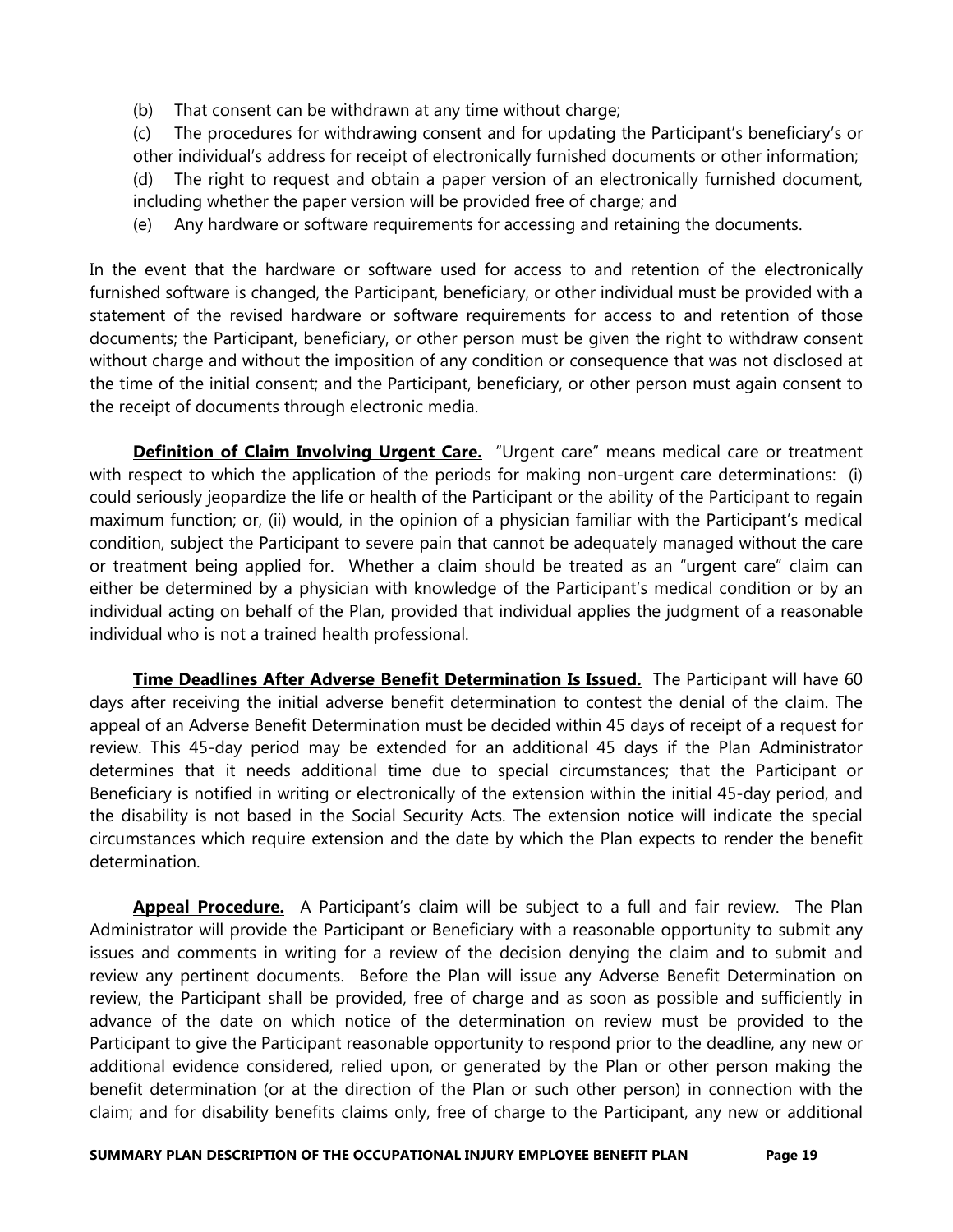(b) That consent can be withdrawn at any time without charge;

 (c) The procedures for withdrawing consent and for updating the Participant's beneficiary's or other individual's address for receipt of electronically furnished documents or other information; (d) The right to request and obtain a paper version of an electronically furnished document, including whether the paper version will be provided free of charge; and

(e) Any hardware or software requirements for accessing and retaining the documents.

In the event that the hardware or software used for access to and retention of the electronically furnished software is changed, the Participant, beneficiary, or other individual must be provided with a statement of the revised hardware or software requirements for access to and retention of those documents; the Participant, beneficiary, or other person must be given the right to withdraw consent without charge and without the imposition of any condition or consequence that was not disclosed at the time of the initial consent; and the Participant, beneficiary, or other person must again consent to the receipt of documents through electronic media.

Definition of Claim Involving Urgent Care. "Urgent care" means medical care or treatment with respect to which the application of the periods for making non-urgent care determinations: (i) could seriously jeopardize the life or health of the Participant or the ability of the Participant to regain maximum function; or, (ii) would, in the opinion of a physician familiar with the Participant's medical condition, subject the Participant to severe pain that cannot be adequately managed without the care or treatment being applied for. Whether a claim should be treated as an "urgent care" claim can either be determined by a physician with knowledge of the Participant's medical condition or by an individual acting on behalf of the Plan, provided that individual applies the judgment of a reasonable individual who is not a trained health professional.

**Time Deadlines After Adverse Benefit Determination Is Issued.** The Participant will have 60 days after receiving the initial adverse benefit determination to contest the denial of the claim. The appeal of an Adverse Benefit Determination must be decided within 45 days of receipt of a request for review. This 45-day period may be extended for an additional 45 days if the Plan Administrator determines that it needs additional time due to special circumstances; that the Participant or Beneficiary is notified in writing or electronically of the extension within the initial 45-day period, and the disability is not based in the Social Security Acts. The extension notice will indicate the special circumstances which require extension and the date by which the Plan expects to render the benefit determination.

**Appeal Procedure.** A Participant's claim will be subject to a full and fair review. The Plan Administrator will provide the Participant or Beneficiary with a reasonable opportunity to submit any issues and comments in writing for a review of the decision denying the claim and to submit and review any pertinent documents. Before the Plan will issue any Adverse Benefit Determination on review, the Participant shall be provided, free of charge and as soon as possible and sufficiently in advance of the date on which notice of the determination on review must be provided to the Participant to give the Participant reasonable opportunity to respond prior to the deadline, any new or additional evidence considered, relied upon, or generated by the Plan or other person making the benefit determination (or at the direction of the Plan or such other person) in connection with the claim; and for disability benefits claims only, free of charge to the Participant, any new or additional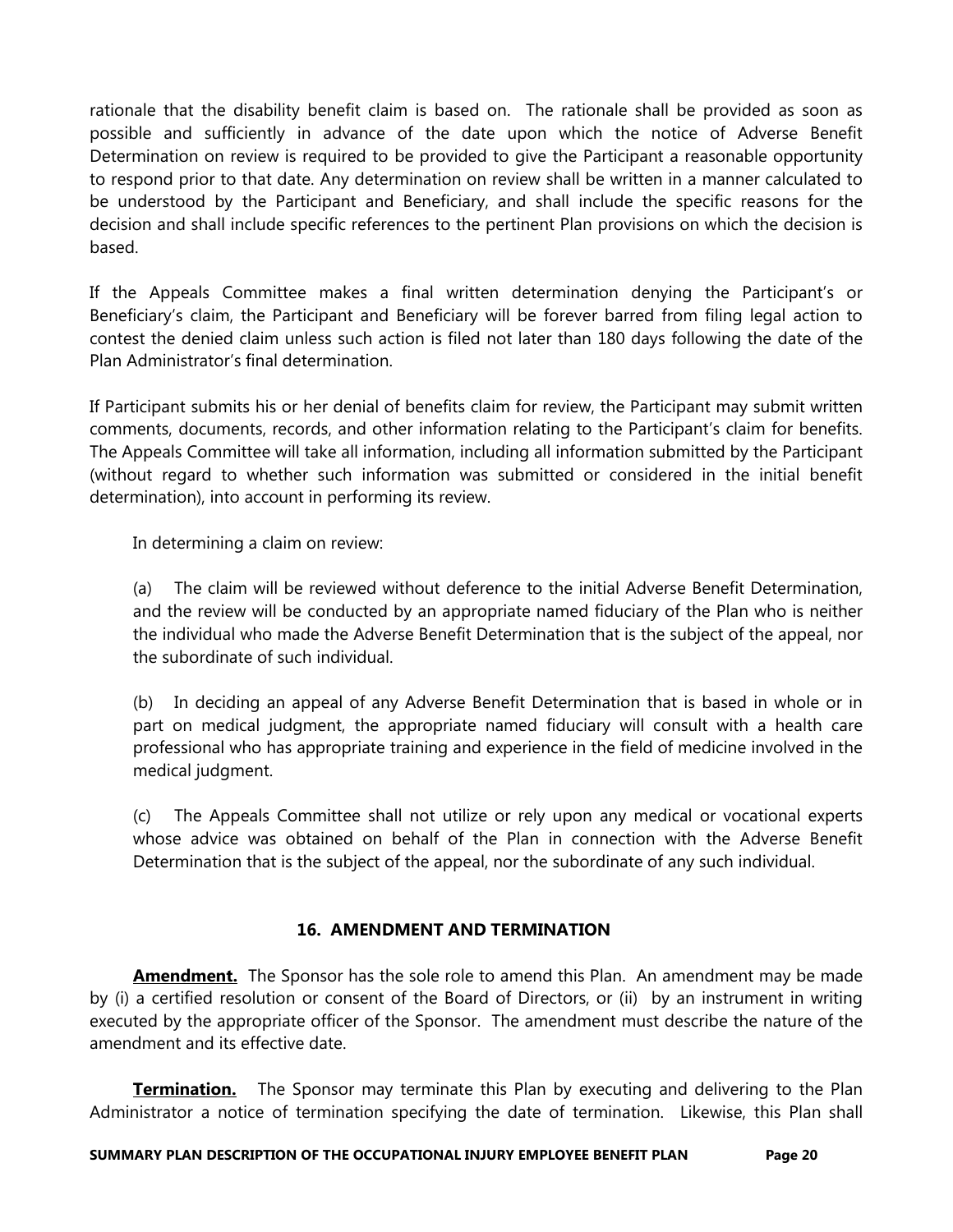rationale that the disability benefit claim is based on. The rationale shall be provided as soon as possible and sufficiently in advance of the date upon which the notice of Adverse Benefit Determination on review is required to be provided to give the Participant a reasonable opportunity to respond prior to that date. Any determination on review shall be written in a manner calculated to be understood by the Participant and Beneficiary, and shall include the specific reasons for the decision and shall include specific references to the pertinent Plan provisions on which the decision is based.

If the Appeals Committee makes a final written determination denying the Participant's or Beneficiary's claim, the Participant and Beneficiary will be forever barred from filing legal action to contest the denied claim unless such action is filed not later than 180 days following the date of the Plan Administrator's final determination.

If Participant submits his or her denial of benefits claim for review, the Participant may submit written comments, documents, records, and other information relating to the Participant's claim for benefits. The Appeals Committee will take all information, including all information submitted by the Participant (without regard to whether such information was submitted or considered in the initial benefit determination), into account in performing its review.

In determining a claim on review:

 (a) The claim will be reviewed without deference to the initial Adverse Benefit Determination, and the review will be conducted by an appropriate named fiduciary of the Plan who is neither the individual who made the Adverse Benefit Determination that is the subject of the appeal, nor the subordinate of such individual.

 (b) In deciding an appeal of any Adverse Benefit Determination that is based in whole or in part on medical judgment, the appropriate named fiduciary will consult with a health care professional who has appropriate training and experience in the field of medicine involved in the medical judgment.

 (c) The Appeals Committee shall not utilize or rely upon any medical or vocational experts whose advice was obtained on behalf of the Plan in connection with the Adverse Benefit Determination that is the subject of the appeal, nor the subordinate of any such individual.

# 16. AMENDMENT AND TERMINATION

**Amendment.** The Sponsor has the sole role to amend this Plan. An amendment may be made by (i) a certified resolution or consent of the Board of Directors, or (ii) by an instrument in writing executed by the appropriate officer of the Sponsor. The amendment must describe the nature of the amendment and its effective date.

**Termination.** The Sponsor may terminate this Plan by executing and delivering to the Plan Administrator a notice of termination specifying the date of termination. Likewise, this Plan shall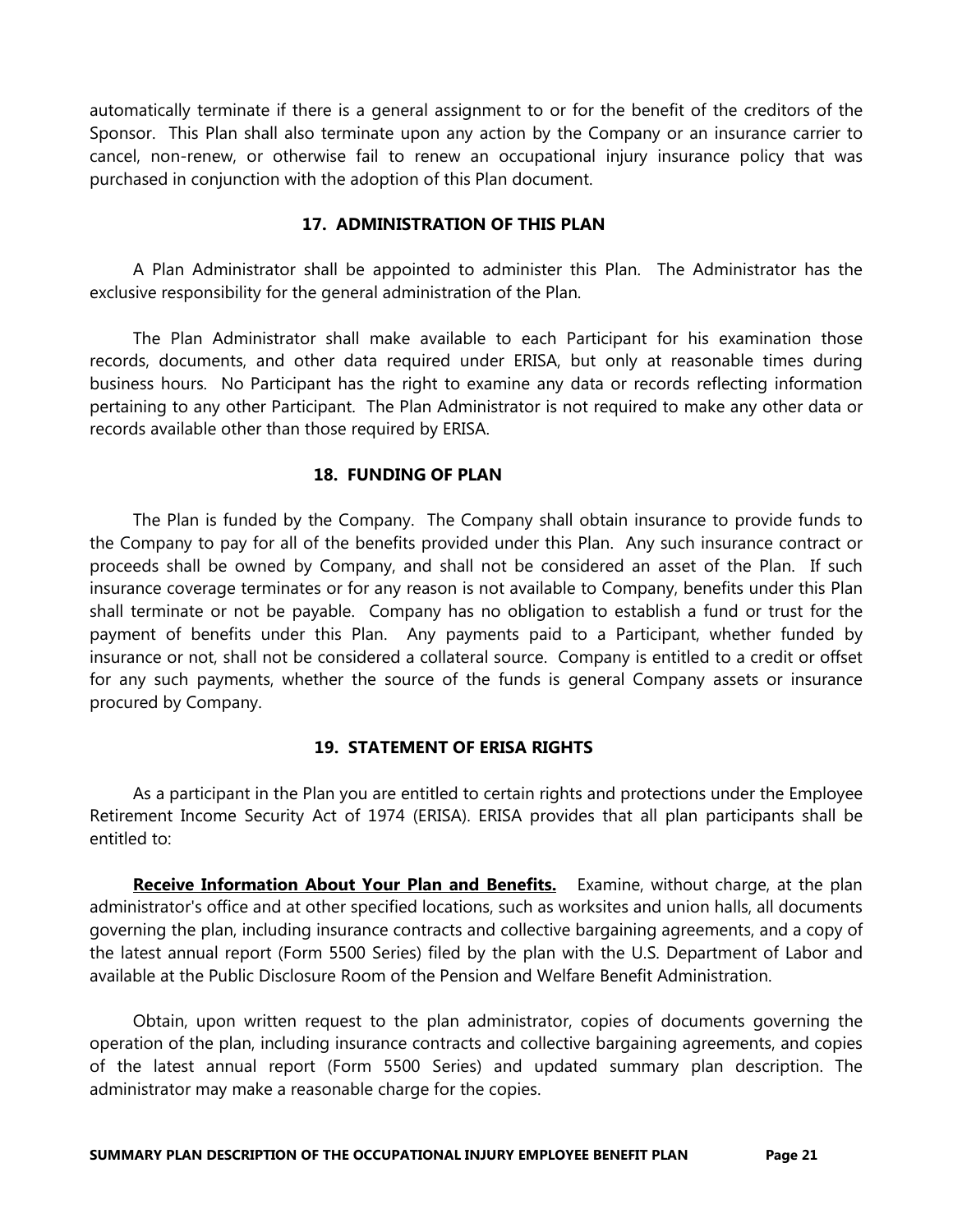automatically terminate if there is a general assignment to or for the benefit of the creditors of the Sponsor. This Plan shall also terminate upon any action by the Company or an insurance carrier to cancel, non-renew, or otherwise fail to renew an occupational injury insurance policy that was purchased in conjunction with the adoption of this Plan document.

# 17. ADMINISTRATION OF THIS PLAN

 A Plan Administrator shall be appointed to administer this Plan. The Administrator has the exclusive responsibility for the general administration of the Plan.

 The Plan Administrator shall make available to each Participant for his examination those records, documents, and other data required under ERISA, but only at reasonable times during business hours. No Participant has the right to examine any data or records reflecting information pertaining to any other Participant. The Plan Administrator is not required to make any other data or records available other than those required by ERISA.

# 18. FUNDING OF PLAN

 The Plan is funded by the Company. The Company shall obtain insurance to provide funds to the Company to pay for all of the benefits provided under this Plan. Any such insurance contract or proceeds shall be owned by Company, and shall not be considered an asset of the Plan. If such insurance coverage terminates or for any reason is not available to Company, benefits under this Plan shall terminate or not be payable. Company has no obligation to establish a fund or trust for the payment of benefits under this Plan. Any payments paid to a Participant, whether funded by insurance or not, shall not be considered a collateral source. Company is entitled to a credit or offset for any such payments, whether the source of the funds is general Company assets or insurance procured by Company.

# 19. STATEMENT OF ERISA RIGHTS

 As a participant in the Plan you are entitled to certain rights and protections under the Employee Retirement Income Security Act of 1974 (ERISA). ERISA provides that all plan participants shall be entitled to:

Receive Information About Your Plan and Benefits. Examine, without charge, at the plan administrator's office and at other specified locations, such as worksites and union halls, all documents governing the plan, including insurance contracts and collective bargaining agreements, and a copy of the latest annual report (Form 5500 Series) filed by the plan with the U.S. Department of Labor and available at the Public Disclosure Room of the Pension and Welfare Benefit Administration.

 Obtain, upon written request to the plan administrator, copies of documents governing the operation of the plan, including insurance contracts and collective bargaining agreements, and copies of the latest annual report (Form 5500 Series) and updated summary plan description. The administrator may make a reasonable charge for the copies.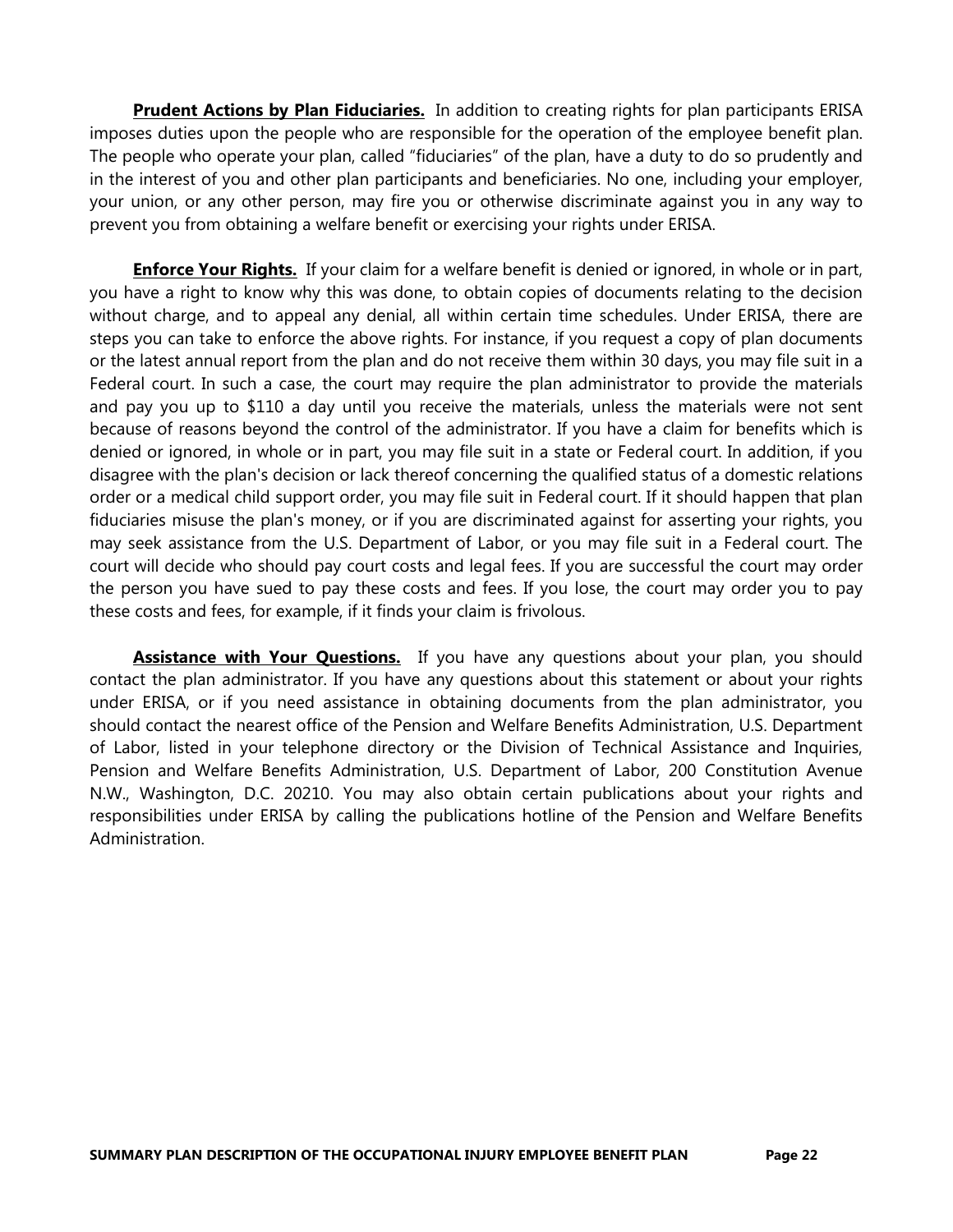**Prudent Actions by Plan Fiduciaries.** In addition to creating rights for plan participants ERISA imposes duties upon the people who are responsible for the operation of the employee benefit plan. The people who operate your plan, called "fiduciaries" of the plan, have a duty to do so prudently and in the interest of you and other plan participants and beneficiaries. No one, including your employer, your union, or any other person, may fire you or otherwise discriminate against you in any way to prevent you from obtaining a welfare benefit or exercising your rights under ERISA.

**Enforce Your Rights.** If your claim for a welfare benefit is denied or ignored, in whole or in part, you have a right to know why this was done, to obtain copies of documents relating to the decision without charge, and to appeal any denial, all within certain time schedules. Under ERISA, there are steps you can take to enforce the above rights. For instance, if you request a copy of plan documents or the latest annual report from the plan and do not receive them within 30 days, you may file suit in a Federal court. In such a case, the court may require the plan administrator to provide the materials and pay you up to \$110 a day until you receive the materials, unless the materials were not sent because of reasons beyond the control of the administrator. If you have a claim for benefits which is denied or ignored, in whole or in part, you may file suit in a state or Federal court. In addition, if you disagree with the plan's decision or lack thereof concerning the qualified status of a domestic relations order or a medical child support order, you may file suit in Federal court. If it should happen that plan fiduciaries misuse the plan's money, or if you are discriminated against for asserting your rights, you may seek assistance from the U.S. Department of Labor, or you may file suit in a Federal court. The court will decide who should pay court costs and legal fees. If you are successful the court may order the person you have sued to pay these costs and fees. If you lose, the court may order you to pay these costs and fees, for example, if it finds your claim is frivolous.

**Assistance with Your Questions.** If you have any questions about your plan, you should contact the plan administrator. If you have any questions about this statement or about your rights under ERISA, or if you need assistance in obtaining documents from the plan administrator, you should contact the nearest office of the Pension and Welfare Benefits Administration, U.S. Department of Labor, listed in your telephone directory or the Division of Technical Assistance and Inquiries, Pension and Welfare Benefits Administration, U.S. Department of Labor, 200 Constitution Avenue N.W., Washington, D.C. 20210. You may also obtain certain publications about your rights and responsibilities under ERISA by calling the publications hotline of the Pension and Welfare Benefits Administration.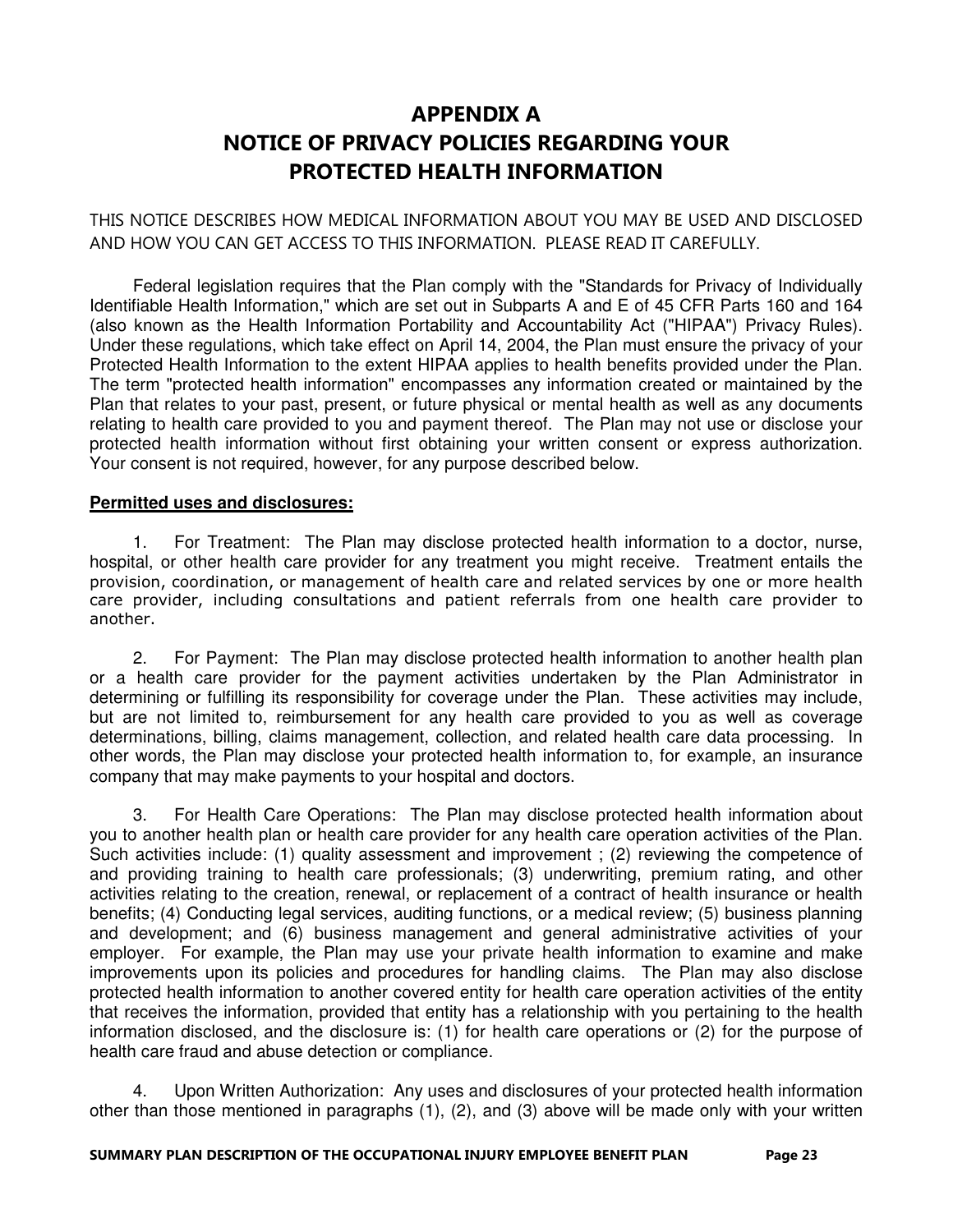# APPENDIX A NOTICE OF PRIVACY POLICIES REGARDING YOUR PROTECTED HEALTH INFORMATION

THIS NOTICE DESCRIBES HOW MEDICAL INFORMATION ABOUT YOU MAY BE USED AND DISCLOSED AND HOW YOU CAN GET ACCESS TO THIS INFORMATION. PLEASE READ IT CAREFULLY.

 Federal legislation requires that the Plan comply with the "Standards for Privacy of Individually Identifiable Health Information," which are set out in Subparts A and E of 45 CFR Parts 160 and 164 (also known as the Health Information Portability and Accountability Act ("HIPAA") Privacy Rules). Under these regulations, which take effect on April 14, 2004, the Plan must ensure the privacy of your Protected Health Information to the extent HIPAA applies to health benefits provided under the Plan. The term "protected health information" encompasses any information created or maintained by the Plan that relates to your past, present, or future physical or mental health as well as any documents relating to health care provided to you and payment thereof. The Plan may not use or disclose your protected health information without first obtaining your written consent or express authorization. Your consent is not required, however, for any purpose described below.

# **Permitted uses and disclosures:**

 1. For Treatment: The Plan may disclose protected health information to a doctor, nurse, hospital, or other health care provider for any treatment you might receive. Treatment entails the provision, coordination, or management of health care and related services by one or more health care provider, including consultations and patient referrals from one health care provider to another.

 2. For Payment: The Plan may disclose protected health information to another health plan or a health care provider for the payment activities undertaken by the Plan Administrator in determining or fulfilling its responsibility for coverage under the Plan. These activities may include, but are not limited to, reimbursement for any health care provided to you as well as coverage determinations, billing, claims management, collection, and related health care data processing. In other words, the Plan may disclose your protected health information to, for example, an insurance company that may make payments to your hospital and doctors.

 3. For Health Care Operations: The Plan may disclose protected health information about you to another health plan or health care provider for any health care operation activities of the Plan. Such activities include: (1) quality assessment and improvement ; (2) reviewing the competence of and providing training to health care professionals; (3) underwriting, premium rating, and other activities relating to the creation, renewal, or replacement of a contract of health insurance or health benefits; (4) Conducting legal services, auditing functions, or a medical review; (5) business planning and development; and (6) business management and general administrative activities of your employer. For example, the Plan may use your private health information to examine and make improvements upon its policies and procedures for handling claims. The Plan may also disclose protected health information to another covered entity for health care operation activities of the entity that receives the information, provided that entity has a relationship with you pertaining to the health information disclosed, and the disclosure is: (1) for health care operations or (2) for the purpose of health care fraud and abuse detection or compliance.

 4. Upon Written Authorization: Any uses and disclosures of your protected health information other than those mentioned in paragraphs (1), (2), and (3) above will be made only with your written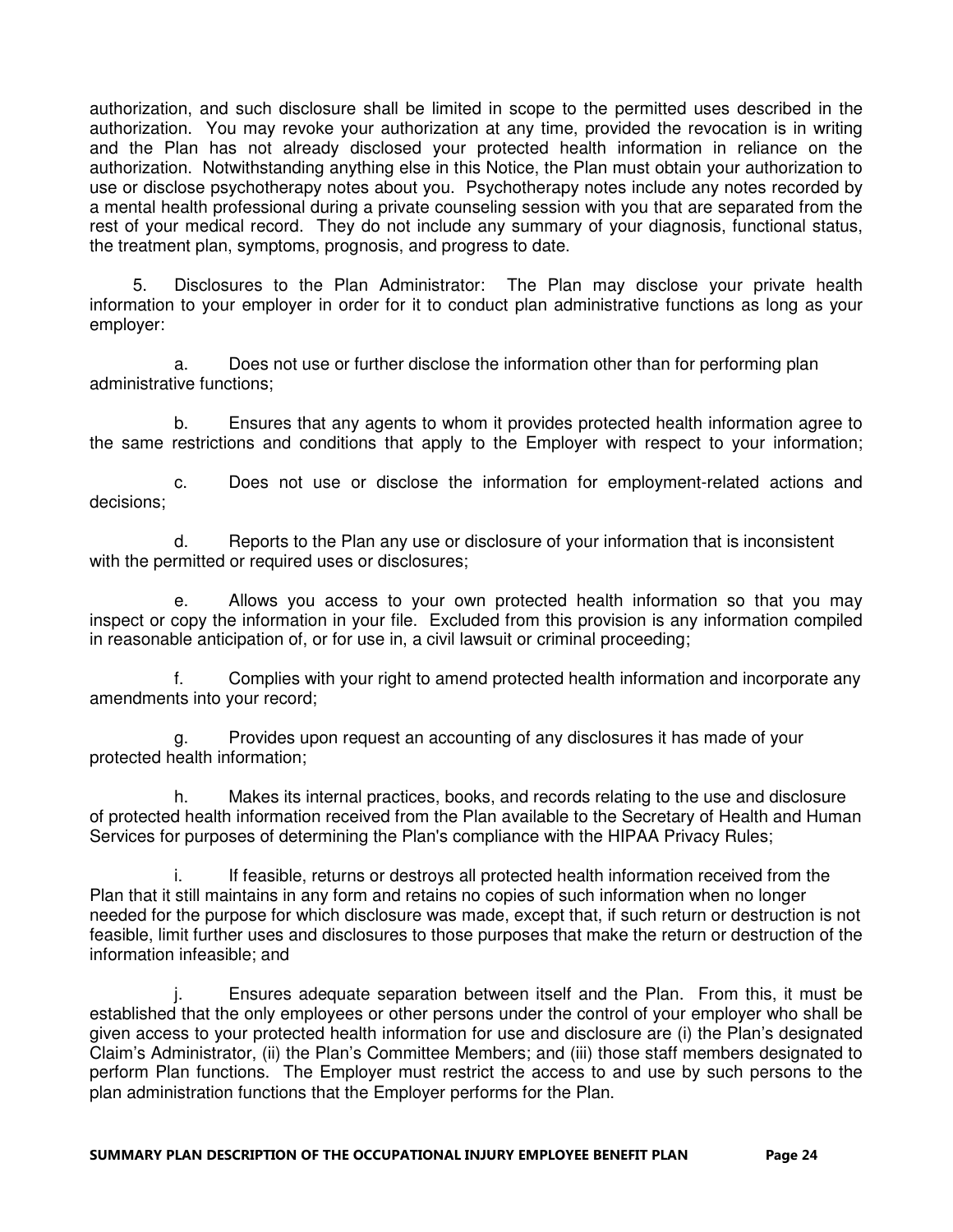authorization, and such disclosure shall be limited in scope to the permitted uses described in the authorization. You may revoke your authorization at any time, provided the revocation is in writing and the Plan has not already disclosed your protected health information in reliance on the authorization. Notwithstanding anything else in this Notice, the Plan must obtain your authorization to use or disclose psychotherapy notes about you. Psychotherapy notes include any notes recorded by a mental health professional during a private counseling session with you that are separated from the rest of your medical record. They do not include any summary of your diagnosis, functional status, the treatment plan, symptoms, prognosis, and progress to date.

 5. Disclosures to the Plan Administrator: The Plan may disclose your private health information to your employer in order for it to conduct plan administrative functions as long as your employer:

 a. Does not use or further disclose the information other than for performing plan administrative functions;

 b. Ensures that any agents to whom it provides protected health information agree to the same restrictions and conditions that apply to the Employer with respect to your information;

 c. Does not use or disclose the information for employment-related actions and decisions;

 d. Reports to the Plan any use or disclosure of your information that is inconsistent with the permitted or required uses or disclosures;

 e. Allows you access to your own protected health information so that you may inspect or copy the information in your file. Excluded from this provision is any information compiled in reasonable anticipation of, or for use in, a civil lawsuit or criminal proceeding;

 f. Complies with your right to amend protected health information and incorporate any amendments into your record;

 g. Provides upon request an accounting of any disclosures it has made of your protected health information;

 h. Makes its internal practices, books, and records relating to the use and disclosure of protected health information received from the Plan available to the Secretary of Health and Human Services for purposes of determining the Plan's compliance with the HIPAA Privacy Rules;

 i. If feasible, returns or destroys all protected health information received from the Plan that it still maintains in any form and retains no copies of such information when no longer needed for the purpose for which disclosure was made, except that, if such return or destruction is not feasible, limit further uses and disclosures to those purposes that make the return or destruction of the information infeasible; and

 j. Ensures adequate separation between itself and the Plan. From this, it must be established that the only employees or other persons under the control of your employer who shall be given access to your protected health information for use and disclosure are (i) the Plan's designated Claim's Administrator, (ii) the Plan's Committee Members; and (iii) those staff members designated to perform Plan functions. The Employer must restrict the access to and use by such persons to the plan administration functions that the Employer performs for the Plan.